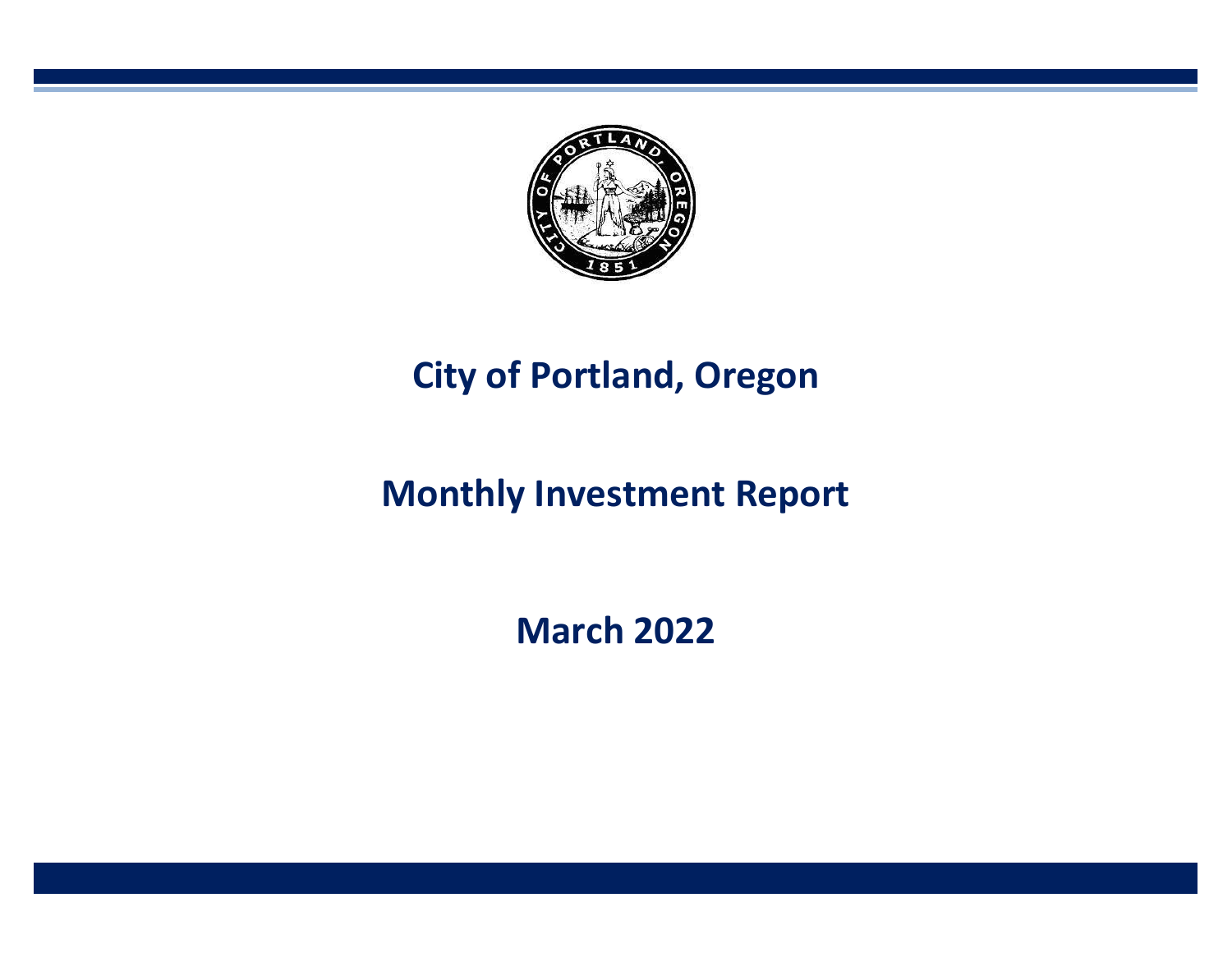

# **City of Portland, Oregon**

# **Monthly Investment Report**

**March 2022**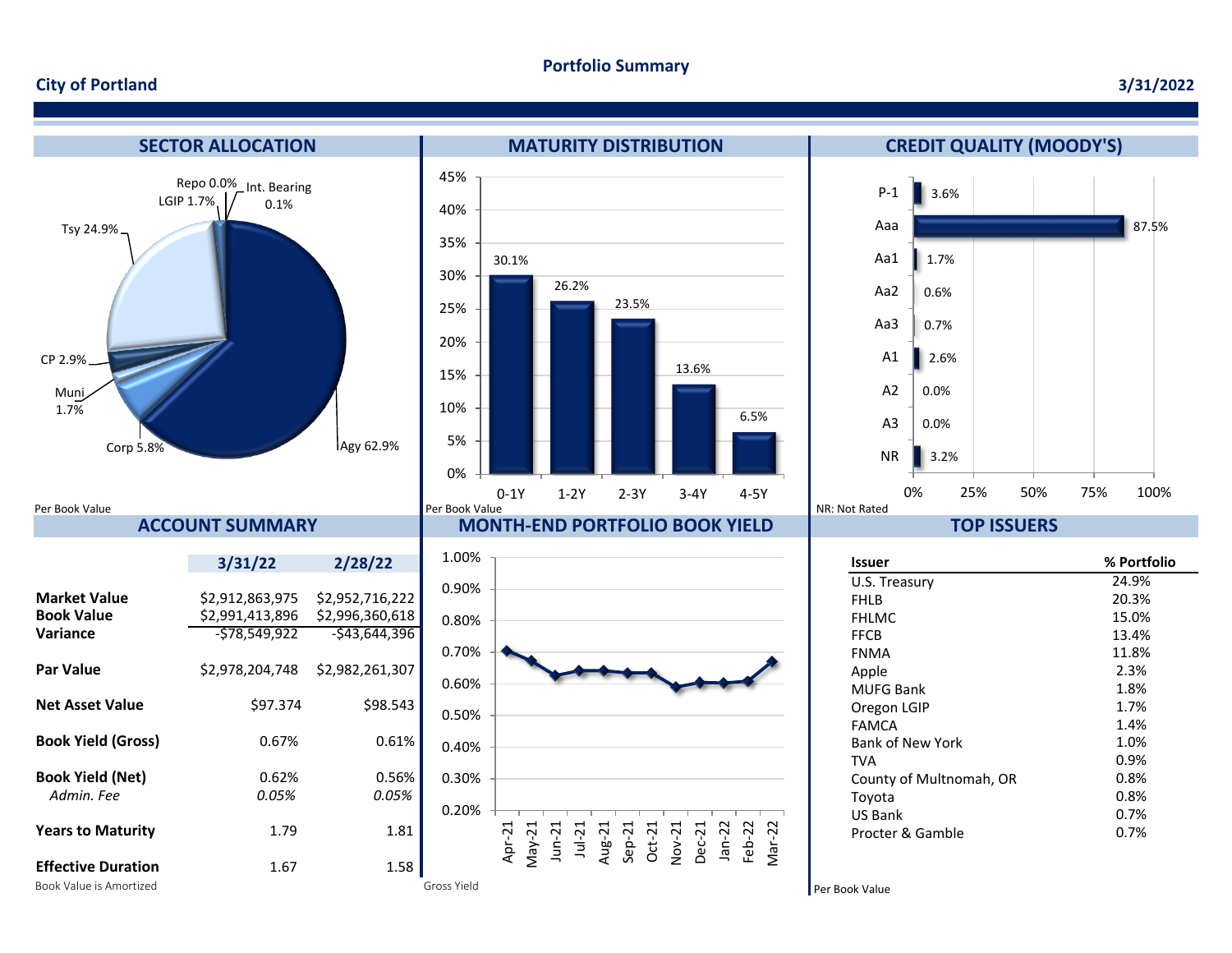#### **City of Portland**

#### **3/31/2022**

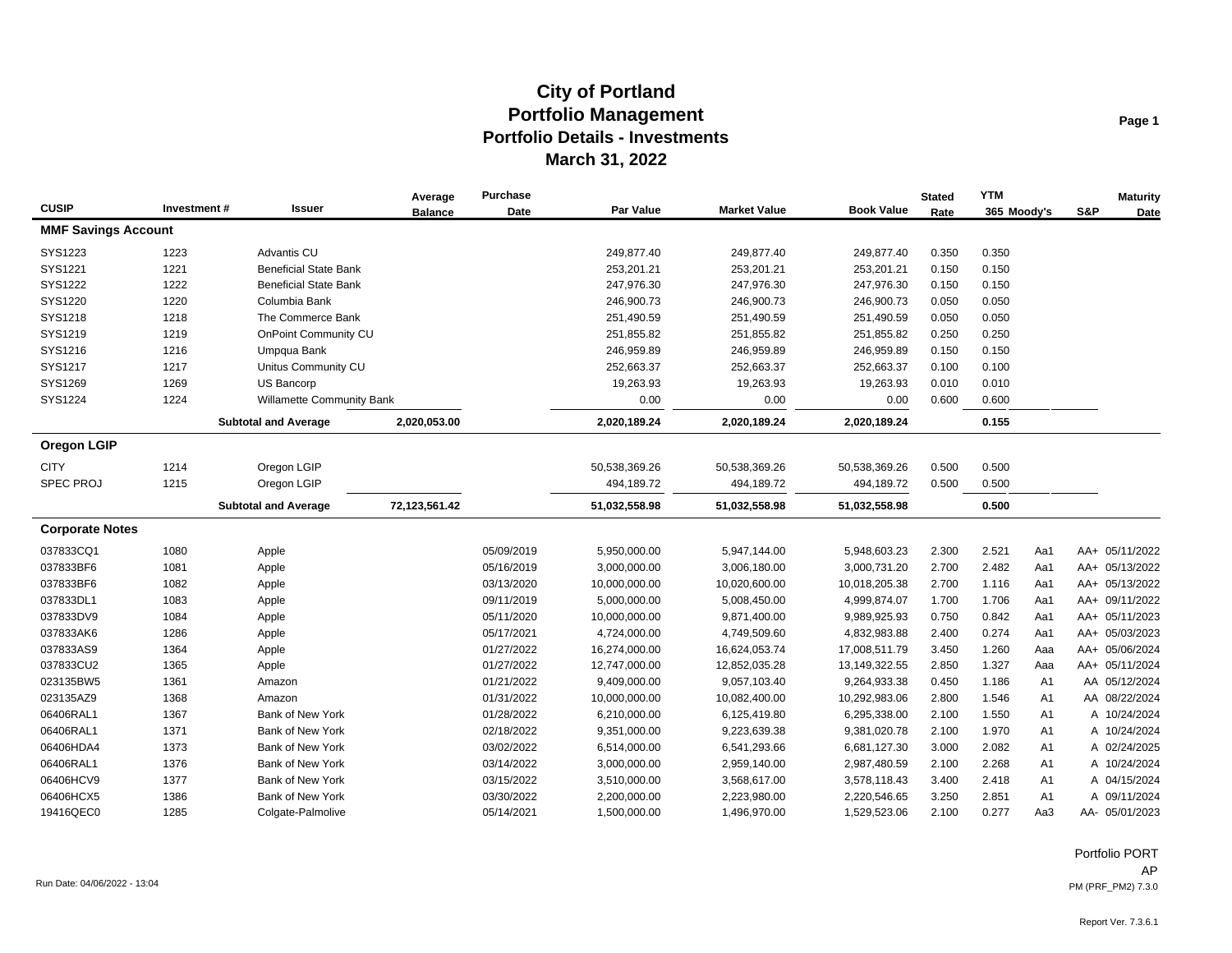| <b>CUSIP</b>               | Investment# | <b>Issuer</b>                | Average<br><b>Balance</b> | <b>Purchase</b><br>Date | <b>Par Value</b> | <b>Market Value</b> | <b>Book Value</b> | <b>Stated</b><br>Rate | <b>YTM</b><br>365 Moody's | S&P            | <b>Maturity</b><br>Date |
|----------------------------|-------------|------------------------------|---------------------------|-------------------------|------------------|---------------------|-------------------|-----------------------|---------------------------|----------------|-------------------------|
| <b>MMF Savings Account</b> |             |                              |                           |                         |                  |                     |                   |                       |                           |                |                         |
| SYS1223                    | 1223        | Advantis CU                  |                           |                         | 249,877.40       | 249,877.40          | 249,877.40        | 0.350                 | 0.350                     |                |                         |
| SYS1221                    | 1221        | <b>Beneficial State Bank</b> |                           |                         | 253,201.21       | 253,201.21          | 253,201.21        | 0.150                 | 0.150                     |                |                         |
| SYS1222                    | 1222        | <b>Beneficial State Bank</b> |                           |                         | 247,976.30       | 247,976.30          | 247,976.30        | 0.150                 | 0.150                     |                |                         |
| SYS1220                    | 1220        | Columbia Bank                |                           |                         | 246,900.73       | 246,900.73          | 246,900.73        | 0.050                 | 0.050                     |                |                         |
| SYS1218                    | 1218        | The Commerce Bank            |                           |                         | 251,490.59       | 251,490.59          | 251,490.59        | 0.050                 | 0.050                     |                |                         |
| SYS1219                    | 1219        | OnPoint Community CU         |                           |                         | 251,855.82       | 251,855.82          | 251,855.82        | 0.250                 | 0.250                     |                |                         |
| SYS1216                    | 1216        | Umpqua Bank                  |                           |                         | 246,959.89       | 246,959.89          | 246,959.89        | 0.150                 | 0.150                     |                |                         |
| SYS1217                    | 1217        | Unitus Community CU          |                           |                         | 252,663.37       | 252,663.37          | 252,663.37        | 0.100                 | 0.100                     |                |                         |
| SYS1269                    | 1269        | <b>US Bancorp</b>            |                           |                         | 19,263.93        | 19,263.93           | 19,263.93         | 0.010                 | 0.010                     |                |                         |
| SYS1224                    | 1224        | Willamette Community Bank    |                           |                         | 0.00             | 0.00                | 0.00              | 0.600                 | 0.600                     |                |                         |
|                            |             | <b>Subtotal and Average</b>  | 2,020,053.00              |                         | 2,020,189.24     | 2,020,189.24        | 2,020,189.24      |                       | 0.155                     |                |                         |
| <b>Oregon LGIP</b>         |             |                              |                           |                         |                  |                     |                   |                       |                           |                |                         |
| <b>CITY</b>                | 1214        | Oregon LGIP                  |                           |                         | 50,538,369.26    | 50,538,369.26       | 50,538,369.26     | 0.500                 | 0.500                     |                |                         |
| <b>SPEC PROJ</b>           | 1215        | Oregon LGIP                  |                           |                         | 494,189.72       | 494,189.72          | 494,189.72        | 0.500                 | 0.500                     |                |                         |
|                            |             | <b>Subtotal and Average</b>  | 72,123,561.42             |                         | 51,032,558.98    | 51,032,558.98       | 51,032,558.98     |                       | 0.500                     |                |                         |
| <b>Corporate Notes</b>     |             |                              |                           |                         |                  |                     |                   |                       |                           |                |                         |
| 037833CQ1                  | 1080        | Apple                        |                           | 05/09/2019              | 5,950,000.00     | 5,947,144.00        | 5,948,603.23      | 2.300                 | 2.521<br>Aa1              |                | AA+ 05/11/2022          |
| 037833BF6                  | 1081        | Apple                        |                           | 05/16/2019              | 3,000,000.00     | 3,006,180.00        | 3,000,731.20      | 2.700                 | 2.482<br>Aa1              |                | AA+ 05/13/2022          |
| 037833BF6                  | 1082        | Apple                        |                           | 03/13/2020              | 10,000,000.00    | 10,020,600.00       | 10,018,205.38     | 2.700                 | 1.116<br>Aa1              |                | AA+ 05/13/2022          |
| 037833DL1                  | 1083        | Apple                        |                           | 09/11/2019              | 5,000,000.00     | 5,008,450.00        | 4,999,874.07      | 1.700                 | 1.706<br>Aa1              |                | AA+ 09/11/2022          |
| 037833DV9                  | 1084        | Apple                        |                           | 05/11/2020              | 10,000,000.00    | 9,871,400.00        | 9,989,925.93      | 0.750                 | 0.842<br>Aa1              |                | AA+ 05/11/2023          |
| 037833AK6                  | 1286        | Apple                        |                           | 05/17/2021              | 4,724,000.00     | 4,749,509.60        | 4,832,983.88      | 2.400                 | 0.274<br>Aa1              |                | AA+ 05/03/2023          |
| 037833AS9                  | 1364        | Apple                        |                           | 01/27/2022              | 16,274,000.00    | 16,624,053.74       | 17,008,511.79     | 3.450                 | 1.260<br>Aaa              |                | AA+ 05/06/2024          |
| 037833CU2                  | 1365        | Apple                        |                           | 01/27/2022              | 12,747,000.00    | 12,852,035.28       | 13,149,322.55     | 2.850                 | 1.327<br>Aaa              |                | AA+ 05/11/2024          |
| 023135BW5                  | 1361        | Amazon                       |                           | 01/21/2022              | 9,409,000.00     | 9,057,103.40        | 9,264,933.38      | 0.450                 | 1.186                     | A <sub>1</sub> | AA 05/12/2024           |
| 023135AZ9                  | 1368        | Amazon                       |                           | 01/31/2022              | 10,000,000.00    | 10,082,400.00       | 10,292,983.06     | 2.800                 | 1.546                     | A <sub>1</sub> | AA 08/22/2024           |
| 06406RAL1                  | 1367        | Bank of New York             |                           | 01/28/2022              | 6,210,000.00     | 6,125,419.80        | 6,295,338.00      | 2.100                 | 1.550                     | A1             | A 10/24/2024            |
| 06406RAL1                  | 1371        | Bank of New York             |                           | 02/18/2022              | 9,351,000.00     | 9,223,639.38        | 9,381,020.78      | 2.100                 | 1.970                     | A <sub>1</sub> | A 10/24/2024            |
| 06406HDA4                  | 1373        | Bank of New York             |                           | 03/02/2022              | 6,514,000.00     | 6,541,293.66        | 6,681,127.30      | 3.000                 | 2.082                     | A1             | A 02/24/2025            |
| 06406RAL1                  | 1376        | Bank of New York             |                           | 03/14/2022              | 3,000,000.00     | 2,959,140.00        | 2,987,480.59      | 2.100                 | 2.268                     | A1             | A 10/24/2024            |
| 06406HCV9                  | 1377        | Bank of New York             |                           | 03/15/2022              | 3,510,000.00     | 3,568,617.00        | 3,578,118.43      | 3.400                 | 2.418                     | A1             | A 04/15/2024            |
| 06406HCX5                  | 1386        | Bank of New York             |                           | 03/30/2022              | 2,200,000.00     | 2,223,980.00        | 2,220,546.65      | 3.250                 | 2.851                     | A <sub>1</sub> | A 09/11/2024            |
| 19416QEC0                  | 1285        | Colgate-Palmolive            |                           | 05/14/2021              | 1,500,000.00     | 1,496,970.00        | 1,529,523.06      | 2.100                 | 0.277<br>Aa3              |                | AA- 05/01/2023          |

Portfolio PORT AP Run Date: 04/06/2022 - 13:04 PM (PRF\_PM2) 7.3.0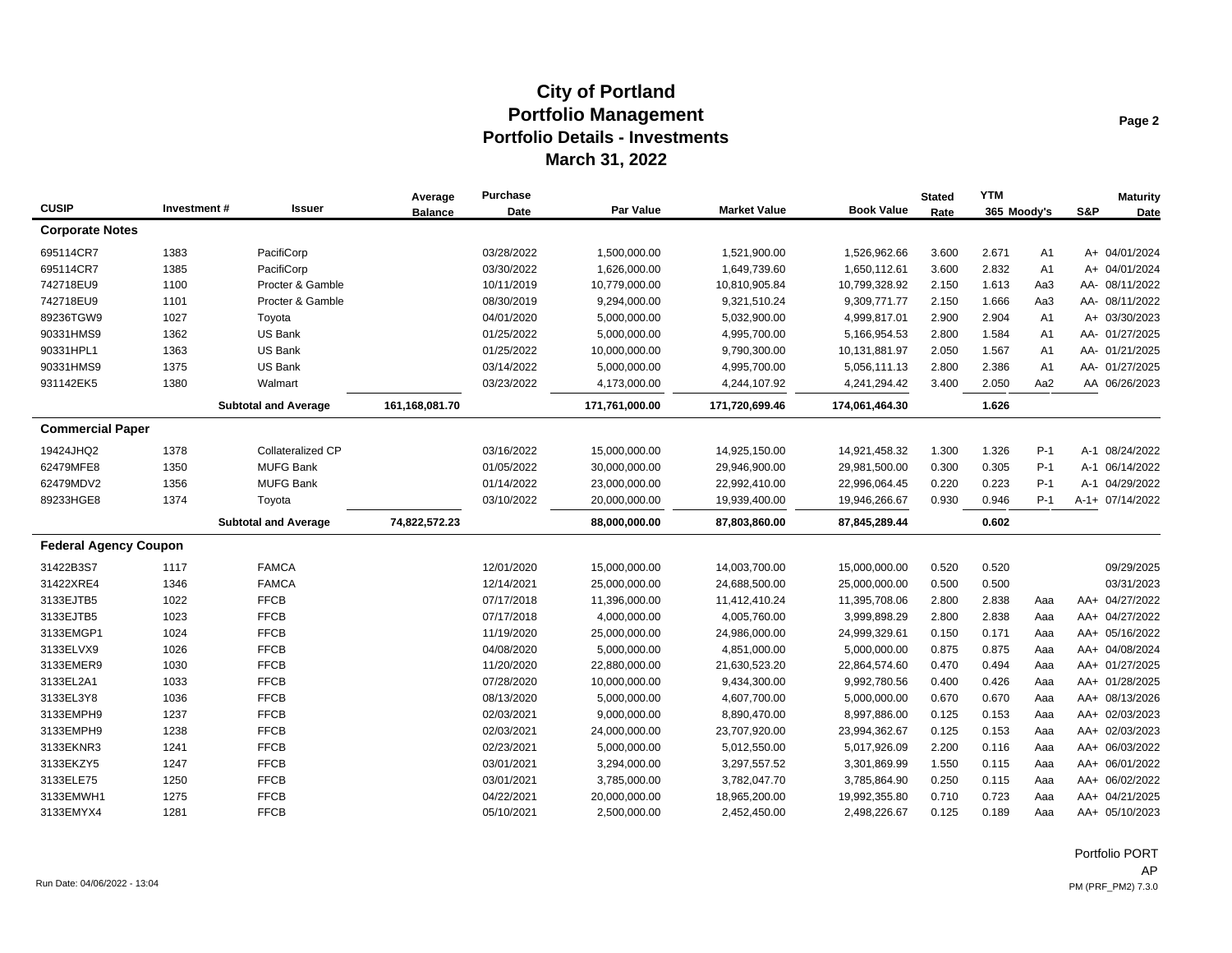|                              |             |                             | Average        | <b>Purchase</b> |                |                     |                   | <b>Stated</b> | <b>YTM</b>  |                |     | <b>Maturity</b> |
|------------------------------|-------------|-----------------------------|----------------|-----------------|----------------|---------------------|-------------------|---------------|-------------|----------------|-----|-----------------|
| <b>CUSIP</b>                 | Investment# | Issuer                      | <b>Balance</b> | Date            | Par Value      | <b>Market Value</b> | <b>Book Value</b> | Rate          | 365 Moody's |                | S&P | Date            |
| <b>Corporate Notes</b>       |             |                             |                |                 |                |                     |                   |               |             |                |     |                 |
| 695114CR7                    | 1383        | PacifiCorp                  |                | 03/28/2022      | 1,500,000.00   | 1,521,900.00        | 1,526,962.66      | 3.600         | 2.671       | A <sub>1</sub> |     | A+ 04/01/2024   |
| 695114CR7                    | 1385        | PacifiCorp                  |                | 03/30/2022      | 1,626,000.00   | 1,649,739.60        | 1,650,112.61      | 3.600         | 2.832       | A1             |     | A+ 04/01/2024   |
| 742718EU9                    | 1100        | Procter & Gamble            |                | 10/11/2019      | 10,779,000.00  | 10,810,905.84       | 10,799,328.92     | 2.150         | 1.613       | Aa3            |     | AA- 08/11/2022  |
| 742718EU9                    | 1101        | Procter & Gamble            |                | 08/30/2019      | 9,294,000.00   | 9,321,510.24        | 9,309,771.77      | 2.150         | 1.666       | Aa3            |     | AA- 08/11/2022  |
| 89236TGW9                    | 1027        | Toyota                      |                | 04/01/2020      | 5,000,000.00   | 5,032,900.00        | 4,999,817.01      | 2.900         | 2.904       | A <sub>1</sub> |     | A+ 03/30/2023   |
| 90331HMS9                    | 1362        | US Bank                     |                | 01/25/2022      | 5,000,000.00   | 4,995,700.00        | 5,166,954.53      | 2.800         | 1.584       | A <sub>1</sub> |     | AA- 01/27/2025  |
| 90331HPL1                    | 1363        | US Bank                     |                | 01/25/2022      | 10,000,000.00  | 9,790,300.00        | 10,131,881.97     | 2.050         | 1.567       | A <sub>1</sub> |     | AA- 01/21/2025  |
| 90331HMS9                    | 1375        | US Bank                     |                | 03/14/2022      | 5,000,000.00   | 4,995,700.00        | 5,056,111.13      | 2.800         | 2.386       | A <sub>1</sub> |     | AA- 01/27/2025  |
| 931142EK5                    | 1380        | Walmart                     |                | 03/23/2022      | 4,173,000.00   | 4,244,107.92        | 4,241,294.42      | 3.400         | 2.050       | Aa2            |     | AA 06/26/2023   |
|                              |             | <b>Subtotal and Average</b> | 161,168,081.70 |                 | 171,761,000.00 | 171,720,699.46      | 174,061,464.30    |               | 1.626       |                |     |                 |
| <b>Commercial Paper</b>      |             |                             |                |                 |                |                     |                   |               |             |                |     |                 |
| 19424JHQ2                    | 1378        | <b>Collateralized CP</b>    |                | 03/16/2022      | 15,000,000.00  | 14,925,150.00       | 14,921,458.32     | 1.300         | 1.326       | $P-1$          |     | A-1 08/24/2022  |
| 62479MFE8                    | 1350        | <b>MUFG Bank</b>            |                | 01/05/2022      | 30,000,000.00  | 29,946,900.00       | 29,981,500.00     | 0.300         | 0.305       | $P-1$          |     | A-1 06/14/2022  |
| 62479MDV2                    | 1356        | <b>MUFG Bank</b>            |                | 01/14/2022      | 23,000,000.00  | 22,992,410.00       | 22,996,064.45     | 0.220         | 0.223       | $P-1$          |     | A-1 04/29/2022  |
| 89233HGE8                    | 1374        | Toyota                      |                | 03/10/2022      | 20,000,000.00  | 19,939,400.00       | 19,946,266.67     | 0.930         | 0.946       | $P-1$          |     | A-1+ 07/14/2022 |
|                              |             | <b>Subtotal and Average</b> | 74,822,572.23  |                 | 88,000,000.00  | 87,803,860.00       | 87,845,289.44     |               | 0.602       |                |     |                 |
| <b>Federal Agency Coupon</b> |             |                             |                |                 |                |                     |                   |               |             |                |     |                 |
| 31422B3S7                    | 1117        | <b>FAMCA</b>                |                | 12/01/2020      | 15,000,000.00  | 14,003,700.00       | 15,000,000.00     | 0.520         | 0.520       |                |     | 09/29/2025      |
| 31422XRE4                    | 1346        | <b>FAMCA</b>                |                | 12/14/2021      | 25,000,000.00  | 24,688,500.00       | 25,000,000.00     | 0.500         | 0.500       |                |     | 03/31/2023      |
| 3133EJTB5                    | 1022        | <b>FFCB</b>                 |                | 07/17/2018      | 11,396,000.00  | 11,412,410.24       | 11,395,708.06     | 2.800         | 2.838       | Aaa            |     | AA+ 04/27/2022  |
| 3133EJTB5                    | 1023        | <b>FFCB</b>                 |                | 07/17/2018      | 4,000,000.00   | 4,005,760.00        | 3,999,898.29      | 2.800         | 2.838       | Aaa            |     | AA+ 04/27/2022  |
| 3133EMGP1                    | 1024        | <b>FFCB</b>                 |                | 11/19/2020      | 25,000,000.00  | 24,986,000.00       | 24,999,329.61     | 0.150         | 0.171       | Aaa            |     | AA+ 05/16/2022  |
| 3133ELVX9                    | 1026        | <b>FFCB</b>                 |                | 04/08/2020      | 5,000,000.00   | 4,851,000.00        | 5,000,000.00      | 0.875         | 0.875       | Aaa            |     | AA+ 04/08/2024  |
| 3133EMER9                    | 1030        | <b>FFCB</b>                 |                | 11/20/2020      | 22,880,000.00  | 21,630,523.20       | 22,864,574.60     | 0.470         | 0.494       | Aaa            |     | AA+ 01/27/2025  |
| 3133EL2A1                    | 1033        | <b>FFCB</b>                 |                | 07/28/2020      | 10,000,000.00  | 9,434,300.00        | 9,992,780.56      | 0.400         | 0.426       | Aaa            |     | AA+ 01/28/2025  |
| 3133EL3Y8                    | 1036        | <b>FFCB</b>                 |                | 08/13/2020      | 5,000,000.00   | 4,607,700.00        | 5,000,000.00      | 0.670         | 0.670       | Aaa            |     | AA+ 08/13/2026  |
| 3133EMPH9                    | 1237        | <b>FFCB</b>                 |                | 02/03/2021      | 9,000,000.00   | 8,890,470.00        | 8,997,886.00      | 0.125         | 0.153       | Aaa            |     | AA+ 02/03/2023  |
| 3133EMPH9                    | 1238        | <b>FFCB</b>                 |                | 02/03/2021      | 24,000,000.00  | 23,707,920.00       | 23,994,362.67     | 0.125         | 0.153       | Aaa            |     | AA+ 02/03/2023  |
| 3133EKNR3                    | 1241        | <b>FFCB</b>                 |                | 02/23/2021      | 5,000,000.00   | 5,012,550.00        | 5,017,926.09      | 2.200         | 0.116       | Aaa            |     | AA+ 06/03/2022  |
| 3133EKZY5                    | 1247        | <b>FFCB</b>                 |                | 03/01/2021      | 3,294,000.00   | 3,297,557.52        | 3,301,869.99      | 1.550         | 0.115       | Aaa            |     | AA+ 06/01/2022  |
| 3133ELE75                    | 1250        | <b>FFCB</b>                 |                | 03/01/2021      | 3,785,000.00   | 3,782,047.70        | 3,785,864.90      | 0.250         | 0.115       | Aaa            |     | AA+ 06/02/2022  |
| 3133EMWH1                    | 1275        | <b>FFCB</b>                 |                | 04/22/2021      | 20,000,000.00  | 18,965,200.00       | 19,992,355.80     | 0.710         | 0.723       | Aaa            |     | AA+ 04/21/2025  |
| 3133EMYX4                    | 1281        | <b>FFCB</b>                 |                | 05/10/2021      | 2,500,000.00   | 2,452,450.00        | 2,498,226.67      | 0.125         | 0.189       | Aaa            |     | AA+ 05/10/2023  |

Portfolio PORT AP Run Date: 04/06/2022 - 13:04 PM (PRF\_PM2) 7.3.0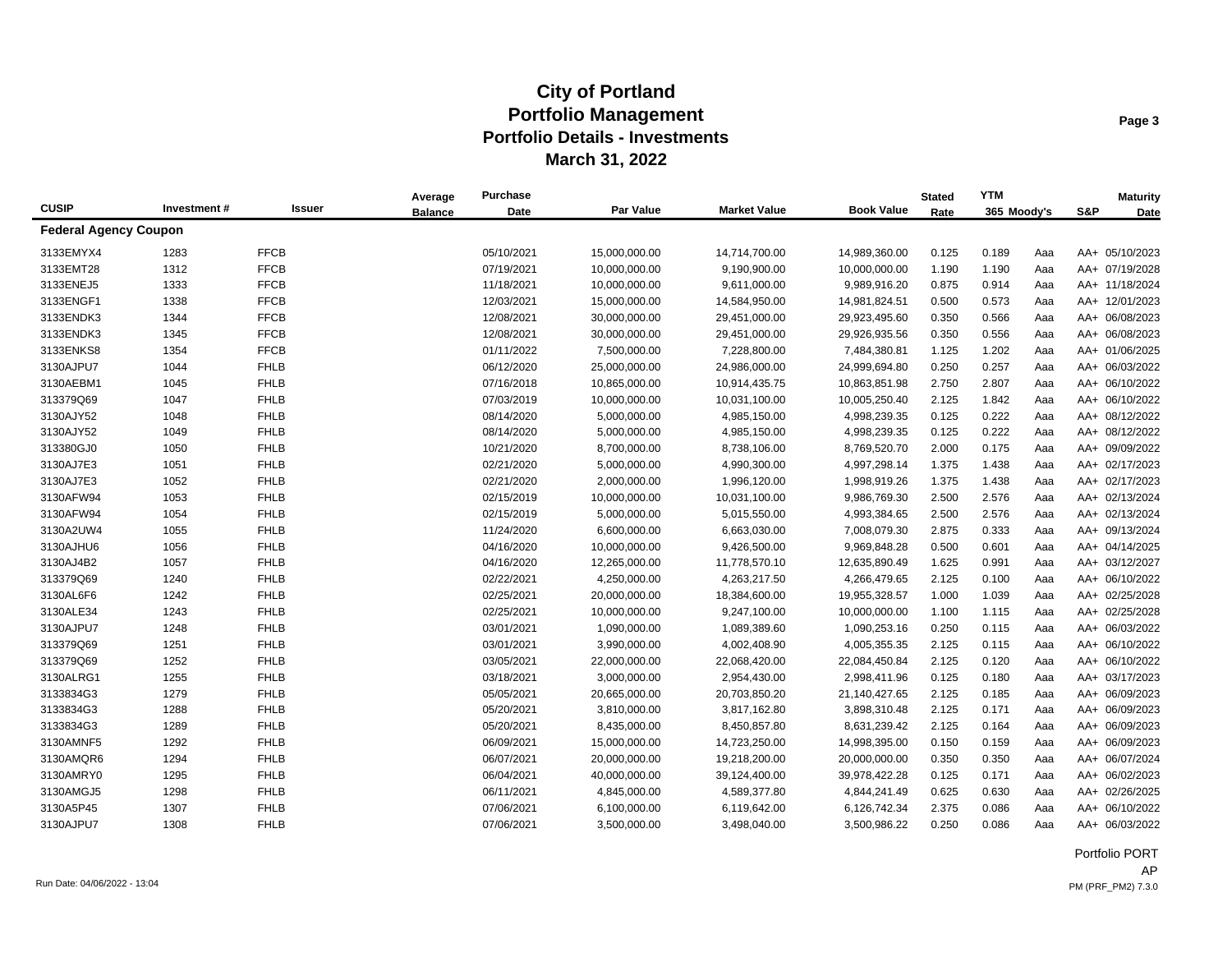|                              |             |             | Average        | Purchase   |               |                     |                   | <b>Stated</b> | <b>YTM</b>  |     |     | <b>Maturity</b> |
|------------------------------|-------------|-------------|----------------|------------|---------------|---------------------|-------------------|---------------|-------------|-----|-----|-----------------|
| <b>CUSIP</b>                 | Investment# | Issuer      | <b>Balance</b> | Date       | Par Value     | <b>Market Value</b> | <b>Book Value</b> | Rate          | 365 Moody's |     | S&P | Date            |
| <b>Federal Agency Coupon</b> |             |             |                |            |               |                     |                   |               |             |     |     |                 |
| 3133EMYX4                    | 1283        | <b>FFCB</b> |                | 05/10/2021 | 15,000,000.00 | 14,714,700.00       | 14,989,360.00     | 0.125         | 0.189       | Aaa |     | AA+ 05/10/2023  |
| 3133EMT28                    | 1312        | <b>FFCB</b> |                | 07/19/2021 | 10,000,000.00 | 9,190,900.00        | 10,000,000.00     | 1.190         | 1.190       | Aaa |     | AA+ 07/19/2028  |
| 3133ENEJ5                    | 1333        | <b>FFCB</b> |                | 11/18/2021 | 10,000,000.00 | 9,611,000.00        | 9,989,916.20      | 0.875         | 0.914       | Aaa |     | AA+ 11/18/2024  |
| 3133ENGF1                    | 1338        | <b>FFCB</b> |                | 12/03/2021 | 15,000,000.00 | 14,584,950.00       | 14,981,824.51     | 0.500         | 0.573       | Aaa |     | AA+ 12/01/2023  |
| 3133ENDK3                    | 1344        | <b>FFCB</b> |                | 12/08/2021 | 30,000,000.00 | 29,451,000.00       | 29,923,495.60     | 0.350         | 0.566       | Aaa |     | AA+ 06/08/2023  |
| 3133ENDK3                    | 1345        | <b>FFCB</b> |                | 12/08/2021 | 30,000,000.00 | 29,451,000.00       | 29,926,935.56     | 0.350         | 0.556       | Aaa |     | AA+ 06/08/2023  |
| 3133ENKS8                    | 1354        | <b>FFCB</b> |                | 01/11/2022 | 7,500,000.00  | 7,228,800.00        | 7,484,380.81      | 1.125         | 1.202       | Aaa |     | AA+ 01/06/2025  |
| 3130AJPU7                    | 1044        | <b>FHLB</b> |                | 06/12/2020 | 25,000,000.00 | 24,986,000.00       | 24,999,694.80     | 0.250         | 0.257       | Aaa |     | AA+ 06/03/2022  |
| 3130AEBM1                    | 1045        | <b>FHLB</b> |                | 07/16/2018 | 10,865,000.00 | 10,914,435.75       | 10,863,851.98     | 2.750         | 2.807       | Aaa |     | AA+ 06/10/2022  |
| 313379Q69                    | 1047        | <b>FHLB</b> |                | 07/03/2019 | 10,000,000.00 | 10,031,100.00       | 10,005,250.40     | 2.125         | 1.842       | Aaa |     | AA+ 06/10/2022  |
| 3130AJY52                    | 1048        | <b>FHLB</b> |                | 08/14/2020 | 5,000,000.00  | 4,985,150.00        | 4,998,239.35      | 0.125         | 0.222       | Aaa |     | AA+ 08/12/2022  |
| 3130AJY52                    | 1049        | <b>FHLB</b> |                | 08/14/2020 | 5,000,000.00  | 4,985,150.00        | 4,998,239.35      | 0.125         | 0.222       | Aaa |     | AA+ 08/12/2022  |
| 313380GJ0                    | 1050        | <b>FHLB</b> |                | 10/21/2020 | 8,700,000.00  | 8,738,106.00        | 8,769,520.70      | 2.000         | 0.175       | Aaa |     | AA+ 09/09/2022  |
| 3130AJ7E3                    | 1051        | <b>FHLB</b> |                | 02/21/2020 | 5,000,000.00  | 4,990,300.00        | 4,997,298.14      | 1.375         | 1.438       | Aaa |     | AA+ 02/17/2023  |
| 3130AJ7E3                    | 1052        | <b>FHLB</b> |                | 02/21/2020 | 2,000,000.00  | 1,996,120.00        | 1,998,919.26      | 1.375         | 1.438       | Aaa |     | AA+ 02/17/2023  |
| 3130AFW94                    | 1053        | <b>FHLB</b> |                | 02/15/2019 | 10,000,000.00 | 10,031,100.00       | 9,986,769.30      | 2.500         | 2.576       | Aaa |     | AA+ 02/13/2024  |
| 3130AFW94                    | 1054        | <b>FHLB</b> |                | 02/15/2019 | 5,000,000.00  | 5,015,550.00        | 4,993,384.65      | 2.500         | 2.576       | Aaa |     | AA+ 02/13/2024  |
| 3130A2UW4                    | 1055        | <b>FHLB</b> |                | 11/24/2020 | 6,600,000.00  | 6,663,030.00        | 7,008,079.30      | 2.875         | 0.333       | Aaa |     | AA+ 09/13/2024  |
| 3130AJHU6                    | 1056        | <b>FHLB</b> |                | 04/16/2020 | 10,000,000.00 | 9,426,500.00        | 9,969,848.28      | 0.500         | 0.601       | Aaa |     | AA+ 04/14/2025  |
| 3130AJ4B2                    | 1057        | <b>FHLB</b> |                | 04/16/2020 | 12,265,000.00 | 11,778,570.10       | 12,635,890.49     | 1.625         | 0.991       | Aaa |     | AA+ 03/12/2027  |
| 313379Q69                    | 1240        | <b>FHLB</b> |                | 02/22/2021 | 4,250,000.00  | 4,263,217.50        | 4,266,479.65      | 2.125         | 0.100       | Aaa |     | AA+ 06/10/2022  |
| 3130AL6F6                    | 1242        | <b>FHLB</b> |                | 02/25/2021 | 20,000,000.00 | 18,384,600.00       | 19,955,328.57     | 1.000         | 1.039       | Aaa |     | AA+ 02/25/2028  |
| 3130ALE34                    | 1243        | <b>FHLB</b> |                | 02/25/2021 | 10,000,000.00 | 9,247,100.00        | 10,000,000.00     | 1.100         | 1.115       | Aaa |     | AA+ 02/25/2028  |
| 3130AJPU7                    | 1248        | <b>FHLB</b> |                | 03/01/2021 | 1,090,000.00  | 1,089,389.60        | 1,090,253.16      | 0.250         | 0.115       | Aaa |     | AA+ 06/03/2022  |
| 313379Q69                    | 1251        | <b>FHLB</b> |                | 03/01/2021 | 3,990,000.00  | 4,002,408.90        | 4,005,355.35      | 2.125         | 0.115       | Aaa |     | AA+ 06/10/2022  |
| 313379Q69                    | 1252        | <b>FHLB</b> |                | 03/05/2021 | 22,000,000.00 | 22,068,420.00       | 22,084,450.84     | 2.125         | 0.120       | Aaa |     | AA+ 06/10/2022  |
| 3130ALRG1                    | 1255        | <b>FHLB</b> |                | 03/18/2021 | 3,000,000.00  | 2,954,430.00        | 2,998,411.96      | 0.125         | 0.180       | Aaa |     | AA+ 03/17/2023  |
| 3133834G3                    | 1279        | <b>FHLB</b> |                | 05/05/2021 | 20,665,000.00 | 20,703,850.20       | 21,140,427.65     | 2.125         | 0.185       | Aaa |     | AA+ 06/09/2023  |
| 3133834G3                    | 1288        | <b>FHLB</b> |                | 05/20/2021 | 3,810,000.00  | 3,817,162.80        | 3,898,310.48      | 2.125         | 0.171       | Aaa |     | AA+ 06/09/2023  |
| 3133834G3                    | 1289        | <b>FHLB</b> |                | 05/20/2021 | 8,435,000.00  | 8,450,857.80        | 8,631,239.42      | 2.125         | 0.164       | Aaa |     | AA+ 06/09/2023  |
| 3130AMNF5                    | 1292        | <b>FHLB</b> |                | 06/09/2021 | 15,000,000.00 | 14,723,250.00       | 14,998,395.00     | 0.150         | 0.159       | Aaa |     | AA+ 06/09/2023  |
| 3130AMQR6                    | 1294        | <b>FHLB</b> |                | 06/07/2021 | 20,000,000.00 | 19,218,200.00       | 20,000,000.00     | 0.350         | 0.350       | Aaa |     | AA+ 06/07/2024  |
| 3130AMRY0                    | 1295        | <b>FHLB</b> |                | 06/04/2021 | 40,000,000.00 | 39,124,400.00       | 39,978,422.28     | 0.125         | 0.171       | Aaa |     | AA+ 06/02/2023  |
| 3130AMGJ5                    | 1298        | <b>FHLB</b> |                | 06/11/2021 | 4,845,000.00  | 4,589,377.80        | 4,844,241.49      | 0.625         | 0.630       | Aaa |     | AA+ 02/26/2025  |
| 3130A5P45                    | 1307        | <b>FHLB</b> |                | 07/06/2021 | 6,100,000.00  | 6,119,642.00        | 6,126,742.34      | 2.375         | 0.086       | Aaa |     | AA+ 06/10/2022  |
| 3130AJPU7                    | 1308        | <b>FHLB</b> |                | 07/06/2021 | 3,500,000.00  | 3,498,040.00        | 3,500,986.22      | 0.250         | 0.086       | Aaa |     | AA+ 06/03/2022  |

Portfolio PORT AP Run Date: 04/06/2022 - 13:04 PM (PRF\_PM2) 7.3.0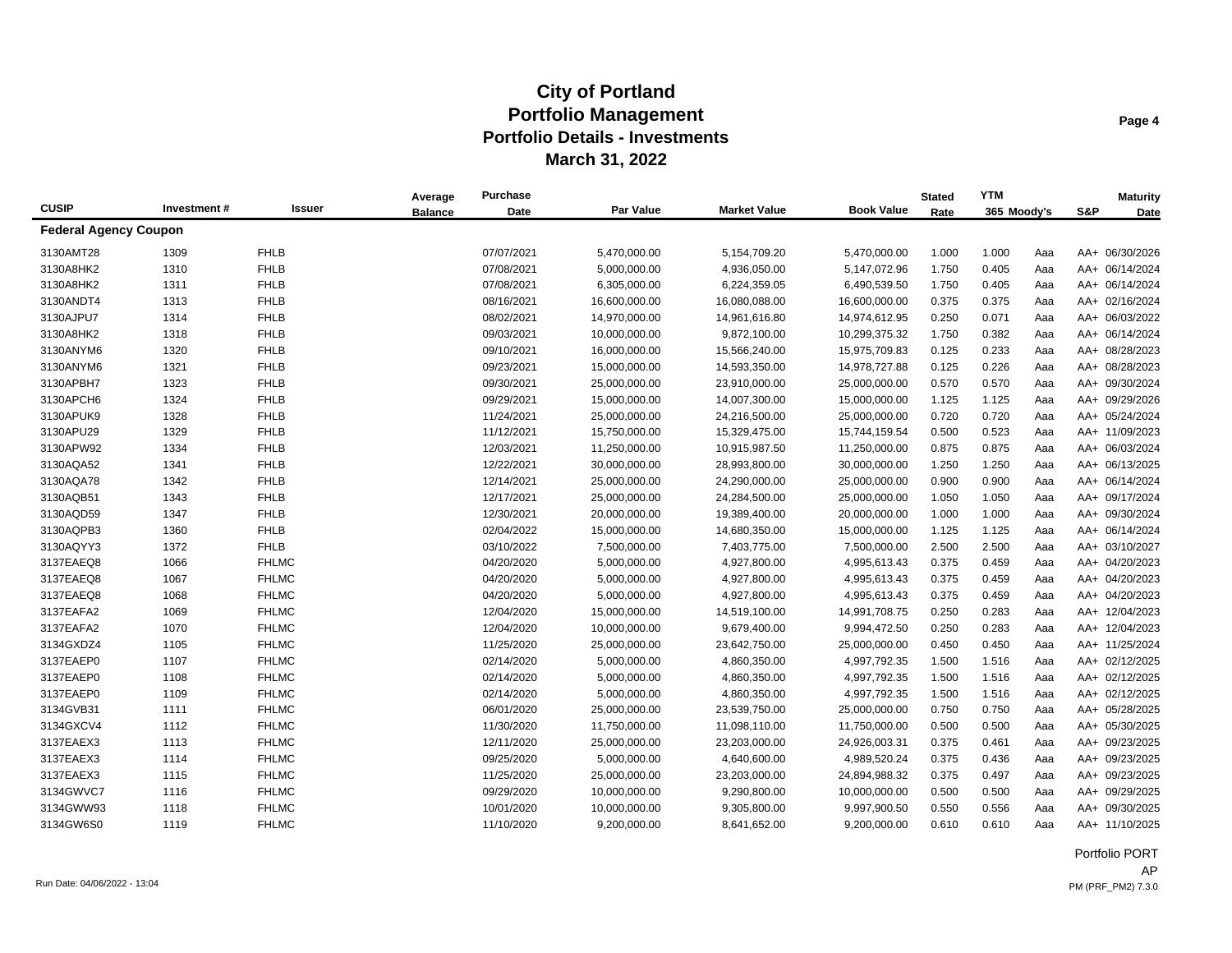|                              |             |               | Average        | <b>Purchase</b> |               |                     |                   | <b>Stated</b> | <b>YTM</b>  |     |     | <b>Maturity</b> |
|------------------------------|-------------|---------------|----------------|-----------------|---------------|---------------------|-------------------|---------------|-------------|-----|-----|-----------------|
| <b>CUSIP</b>                 | Investment# | <b>Issuer</b> | <b>Balance</b> | Date            | Par Value     | <b>Market Value</b> | <b>Book Value</b> | Rate          | 365 Moody's |     | S&P | Date            |
| <b>Federal Agency Coupon</b> |             |               |                |                 |               |                     |                   |               |             |     |     |                 |
| 3130AMT28                    | 1309        | <b>FHLB</b>   |                | 07/07/2021      | 5,470,000.00  | 5,154,709.20        | 5,470,000.00      | 1.000         | 1.000       | Aaa |     | AA+ 06/30/2026  |
| 3130A8HK2                    | 1310        | <b>FHLB</b>   |                | 07/08/2021      | 5,000,000.00  | 4,936,050.00        | 5,147,072.96      | 1.750         | 0.405       | Aaa |     | AA+ 06/14/2024  |
| 3130A8HK2                    | 1311        | <b>FHLB</b>   |                | 07/08/2021      | 6,305,000.00  | 6,224,359.05        | 6,490,539.50      | 1.750         | 0.405       | Aaa |     | AA+ 06/14/2024  |
| 3130ANDT4                    | 1313        | <b>FHLB</b>   |                | 08/16/2021      | 16,600,000.00 | 16,080,088.00       | 16,600,000.00     | 0.375         | 0.375       | Aaa |     | AA+ 02/16/2024  |
| 3130AJPU7                    | 1314        | <b>FHLB</b>   |                | 08/02/2021      | 14,970,000.00 | 14,961,616.80       | 14,974,612.95     | 0.250         | 0.071       | Aaa |     | AA+ 06/03/2022  |
| 3130A8HK2                    | 1318        | <b>FHLB</b>   |                | 09/03/2021      | 10,000,000.00 | 9,872,100.00        | 10,299,375.32     | 1.750         | 0.382       | Aaa |     | AA+ 06/14/2024  |
| 3130ANYM6                    | 1320        | <b>FHLB</b>   |                | 09/10/2021      | 16,000,000.00 | 15,566,240.00       | 15,975,709.83     | 0.125         | 0.233       | Aaa |     | AA+ 08/28/2023  |
| 3130ANYM6                    | 1321        | <b>FHLB</b>   |                | 09/23/2021      | 15,000,000.00 | 14,593,350.00       | 14,978,727.88     | 0.125         | 0.226       | Aaa |     | AA+ 08/28/2023  |
| 3130APBH7                    | 1323        | <b>FHLB</b>   |                | 09/30/2021      | 25,000,000.00 | 23,910,000.00       | 25,000,000.00     | 0.570         | 0.570       | Aaa |     | AA+ 09/30/2024  |
| 3130APCH6                    | 1324        | <b>FHLB</b>   |                | 09/29/2021      | 15,000,000.00 | 14,007,300.00       | 15,000,000.00     | 1.125         | 1.125       | Aaa |     | AA+ 09/29/2026  |
| 3130APUK9                    | 1328        | <b>FHLB</b>   |                | 11/24/2021      | 25,000,000.00 | 24,216,500.00       | 25,000,000.00     | 0.720         | 0.720       | Aaa |     | AA+ 05/24/2024  |
| 3130APU29                    | 1329        | <b>FHLB</b>   |                | 11/12/2021      | 15,750,000.00 | 15,329,475.00       | 15,744,159.54     | 0.500         | 0.523       | Aaa |     | AA+ 11/09/2023  |
| 3130APW92                    | 1334        | <b>FHLB</b>   |                | 12/03/2021      | 11,250,000.00 | 10,915,987.50       | 11,250,000.00     | 0.875         | 0.875       | Aaa |     | AA+ 06/03/2024  |
| 3130AQA52                    | 1341        | <b>FHLB</b>   |                | 12/22/2021      | 30,000,000.00 | 28,993,800.00       | 30,000,000.00     | 1.250         | 1.250       | Aaa |     | AA+ 06/13/2025  |
| 3130AQA78                    | 1342        | <b>FHLB</b>   |                | 12/14/2021      | 25,000,000.00 | 24,290,000.00       | 25,000,000.00     | 0.900         | 0.900       | Aaa |     | AA+ 06/14/2024  |
| 3130AQB51                    | 1343        | <b>FHLB</b>   |                | 12/17/2021      | 25,000,000.00 | 24,284,500.00       | 25,000,000.00     | 1.050         | 1.050       | Aaa |     | AA+ 09/17/2024  |
| 3130AQD59                    | 1347        | <b>FHLB</b>   |                | 12/30/2021      | 20,000,000.00 | 19,389,400.00       | 20,000,000.00     | 1.000         | 1.000       | Aaa |     | AA+ 09/30/2024  |
| 3130AQPB3                    | 1360        | <b>FHLB</b>   |                | 02/04/2022      | 15,000,000.00 | 14,680,350.00       | 15,000,000.00     | 1.125         | 1.125       | Aaa |     | AA+ 06/14/2024  |
| 3130AQYY3                    | 1372        | <b>FHLB</b>   |                | 03/10/2022      | 7,500,000.00  | 7,403,775.00        | 7,500,000.00      | 2.500         | 2.500       | Aaa |     | AA+ 03/10/2027  |
| 3137EAEQ8                    | 1066        | <b>FHLMC</b>  |                | 04/20/2020      | 5,000,000.00  | 4,927,800.00        | 4,995,613.43      | 0.375         | 0.459       | Aaa |     | AA+ 04/20/2023  |
| 3137EAEQ8                    | 1067        | <b>FHLMC</b>  |                | 04/20/2020      | 5,000,000.00  | 4,927,800.00        | 4,995,613.43      | 0.375         | 0.459       | Aaa |     | AA+ 04/20/2023  |
| 3137EAEQ8                    | 1068        | <b>FHLMC</b>  |                | 04/20/2020      | 5,000,000.00  | 4,927,800.00        | 4,995,613.43      | 0.375         | 0.459       | Aaa |     | AA+ 04/20/2023  |
| 3137EAFA2                    | 1069        | <b>FHLMC</b>  |                | 12/04/2020      | 15,000,000.00 | 14,519,100.00       | 14,991,708.75     | 0.250         | 0.283       | Aaa |     | AA+ 12/04/2023  |
| 3137EAFA2                    | 1070        | <b>FHLMC</b>  |                | 12/04/2020      | 10,000,000.00 | 9,679,400.00        | 9,994,472.50      | 0.250         | 0.283       | Aaa |     | AA+ 12/04/2023  |
| 3134GXDZ4                    | 1105        | <b>FHLMC</b>  |                | 11/25/2020      | 25,000,000.00 | 23,642,750.00       | 25,000,000.00     | 0.450         | 0.450       | Aaa |     | AA+ 11/25/2024  |
| 3137EAEP0                    | 1107        | <b>FHLMC</b>  |                | 02/14/2020      | 5,000,000.00  | 4,860,350.00        | 4,997,792.35      | 1.500         | 1.516       | Aaa |     | AA+ 02/12/2025  |
| 3137EAEP0                    | 1108        | <b>FHLMC</b>  |                | 02/14/2020      | 5,000,000.00  | 4,860,350.00        | 4,997,792.35      | 1.500         | 1.516       | Aaa |     | AA+ 02/12/2025  |
| 3137EAEP0                    | 1109        | <b>FHLMC</b>  |                | 02/14/2020      | 5,000,000.00  | 4,860,350.00        | 4,997,792.35      | 1.500         | 1.516       | Aaa |     | AA+ 02/12/2025  |
| 3134GVB31                    | 1111        | <b>FHLMC</b>  |                | 06/01/2020      | 25,000,000.00 | 23,539,750.00       | 25,000,000.00     | 0.750         | 0.750       | Aaa |     | AA+ 05/28/2025  |
| 3134GXCV4                    | 1112        | <b>FHLMC</b>  |                | 11/30/2020      | 11,750,000.00 | 11,098,110.00       | 11,750,000.00     | 0.500         | 0.500       | Aaa |     | AA+ 05/30/2025  |
| 3137EAEX3                    | 1113        | <b>FHLMC</b>  |                | 12/11/2020      | 25,000,000.00 | 23,203,000.00       | 24,926,003.31     | 0.375         | 0.461       | Aaa |     | AA+ 09/23/2025  |
| 3137EAEX3                    | 1114        | <b>FHLMC</b>  |                | 09/25/2020      | 5,000,000.00  | 4,640,600.00        | 4,989,520.24      | 0.375         | 0.436       | Aaa |     | AA+ 09/23/2025  |
| 3137EAEX3                    | 1115        | <b>FHLMC</b>  |                | 11/25/2020      | 25,000,000.00 | 23,203,000.00       | 24,894,988.32     | 0.375         | 0.497       | Aaa |     | AA+ 09/23/2025  |
| 3134GWVC7                    | 1116        | <b>FHLMC</b>  |                | 09/29/2020      | 10,000,000.00 | 9,290,800.00        | 10,000,000.00     | 0.500         | 0.500       | Aaa |     | AA+ 09/29/2025  |
| 3134GWW93                    | 1118        | <b>FHLMC</b>  |                | 10/01/2020      | 10,000,000.00 | 9,305,800.00        | 9,997,900.50      | 0.550         | 0.556       | Aaa |     | AA+ 09/30/2025  |
| 3134GW6S0                    | 1119        | <b>FHLMC</b>  |                | 11/10/2020      | 9,200,000.00  | 8,641,652.00        | 9,200,000.00      | 0.610         | 0.610       | Aaa |     | AA+ 11/10/2025  |

Portfolio PORT AP Run Date: 04/06/2022 - 13:04 PM (PRF\_PM2) 7.3.0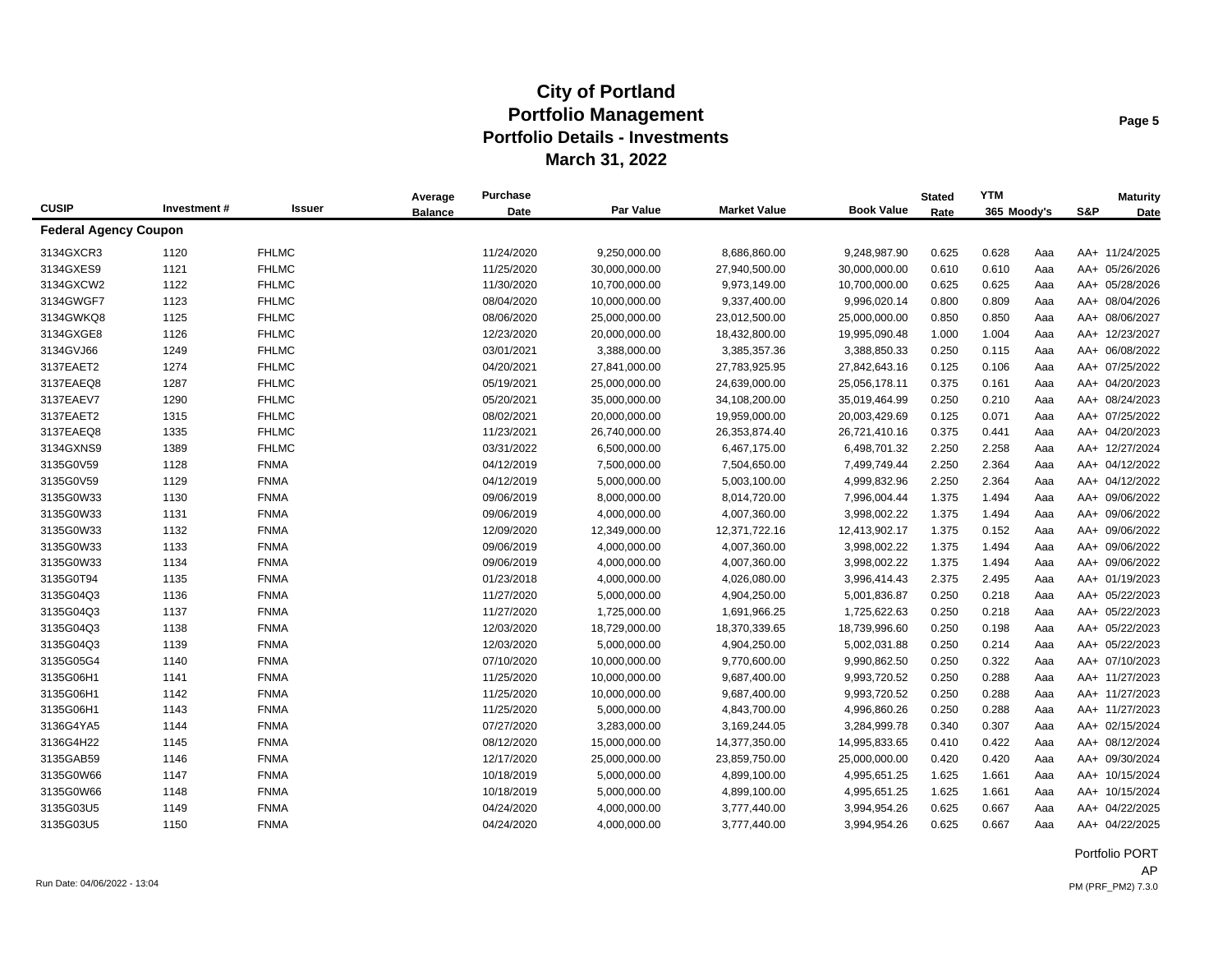|                              |             |              | Average        | <b>Purchase</b> |                  |                     |                   | <b>Stated</b> | <b>YTM</b>  |     |     | <b>Maturity</b> |
|------------------------------|-------------|--------------|----------------|-----------------|------------------|---------------------|-------------------|---------------|-------------|-----|-----|-----------------|
| <b>CUSIP</b>                 | Investment# | Issuer       | <b>Balance</b> | Date            | <b>Par Value</b> | <b>Market Value</b> | <b>Book Value</b> | Rate          | 365 Moody's |     | S&P | Date            |
| <b>Federal Agency Coupon</b> |             |              |                |                 |                  |                     |                   |               |             |     |     |                 |
| 3134GXCR3                    | 1120        | <b>FHLMC</b> |                | 11/24/2020      | 9,250,000.00     | 8,686,860.00        | 9,248,987.90      | 0.625         | 0.628       | Aaa |     | AA+ 11/24/2025  |
| 3134GXES9                    | 1121        | <b>FHLMC</b> |                | 11/25/2020      | 30,000,000.00    | 27,940,500.00       | 30,000,000.00     | 0.610         | 0.610       | Aaa |     | AA+ 05/26/2026  |
| 3134GXCW2                    | 1122        | <b>FHLMC</b> |                | 11/30/2020      | 10,700,000.00    | 9,973,149.00        | 10,700,000.00     | 0.625         | 0.625       | Aaa |     | AA+ 05/28/2026  |
| 3134GWGF7                    | 1123        | <b>FHLMC</b> |                | 08/04/2020      | 10,000,000.00    | 9,337,400.00        | 9,996,020.14      | 0.800         | 0.809       | Aaa |     | AA+ 08/04/2026  |
| 3134GWKQ8                    | 1125        | <b>FHLMC</b> |                | 08/06/2020      | 25,000,000.00    | 23,012,500.00       | 25,000,000.00     | 0.850         | 0.850       | Aaa |     | AA+ 08/06/2027  |
| 3134GXGE8                    | 1126        | <b>FHLMC</b> |                | 12/23/2020      | 20,000,000.00    | 18,432,800.00       | 19,995,090.48     | 1.000         | 1.004       | Aaa |     | AA+ 12/23/2027  |
| 3134GVJ66                    | 1249        | <b>FHLMC</b> |                | 03/01/2021      | 3,388,000.00     | 3,385,357.36        | 3,388,850.33      | 0.250         | 0.115       | Aaa |     | AA+ 06/08/2022  |
| 3137EAET2                    | 1274        | <b>FHLMC</b> |                | 04/20/2021      | 27,841,000.00    | 27,783,925.95       | 27,842,643.16     | 0.125         | 0.106       | Aaa |     | AA+ 07/25/2022  |
| 3137EAEQ8                    | 1287        | <b>FHLMC</b> |                | 05/19/2021      | 25,000,000.00    | 24,639,000.00       | 25,056,178.11     | 0.375         | 0.161       | Aaa |     | AA+ 04/20/2023  |
| 3137EAEV7                    | 1290        | <b>FHLMC</b> |                | 05/20/2021      | 35,000,000.00    | 34,108,200.00       | 35,019,464.99     | 0.250         | 0.210       | Aaa |     | AA+ 08/24/2023  |
| 3137EAET2                    | 1315        | <b>FHLMC</b> |                | 08/02/2021      | 20,000,000.00    | 19,959,000.00       | 20,003,429.69     | 0.125         | 0.071       | Aaa |     | AA+ 07/25/2022  |
| 3137EAEQ8                    | 1335        | <b>FHLMC</b> |                | 11/23/2021      | 26,740,000.00    | 26,353,874.40       | 26,721,410.16     | 0.375         | 0.441       | Aaa |     | AA+ 04/20/2023  |
| 3134GXNS9                    | 1389        | <b>FHLMC</b> |                | 03/31/2022      | 6,500,000.00     | 6,467,175.00        | 6,498,701.32      | 2.250         | 2.258       | Aaa |     | AA+ 12/27/2024  |
| 3135G0V59                    | 1128        | <b>FNMA</b>  |                | 04/12/2019      | 7,500,000.00     | 7,504,650.00        | 7,499,749.44      | 2.250         | 2.364       | Aaa |     | AA+ 04/12/2022  |
| 3135G0V59                    | 1129        | <b>FNMA</b>  |                | 04/12/2019      | 5,000,000.00     | 5,003,100.00        | 4,999,832.96      | 2.250         | 2.364       | Aaa |     | AA+ 04/12/2022  |
| 3135G0W33                    | 1130        | <b>FNMA</b>  |                | 09/06/2019      | 8,000,000.00     | 8,014,720.00        | 7,996,004.44      | 1.375         | 1.494       | Aaa |     | AA+ 09/06/2022  |
| 3135G0W33                    | 1131        | <b>FNMA</b>  |                | 09/06/2019      | 4,000,000.00     | 4,007,360.00        | 3,998,002.22      | 1.375         | 1.494       | Aaa |     | AA+ 09/06/2022  |
| 3135G0W33                    | 1132        | <b>FNMA</b>  |                | 12/09/2020      | 12,349,000.00    | 12,371,722.16       | 12,413,902.17     | 1.375         | 0.152       | Aaa |     | AA+ 09/06/2022  |
| 3135G0W33                    | 1133        | <b>FNMA</b>  |                | 09/06/2019      | 4,000,000.00     | 4,007,360.00        | 3,998,002.22      | 1.375         | 1.494       | Aaa |     | AA+ 09/06/2022  |
| 3135G0W33                    | 1134        | <b>FNMA</b>  |                | 09/06/2019      | 4,000,000.00     | 4,007,360.00        | 3,998,002.22      | 1.375         | 1.494       | Aaa |     | AA+ 09/06/2022  |
| 3135G0T94                    | 1135        | <b>FNMA</b>  |                | 01/23/2018      | 4,000,000.00     | 4,026,080.00        | 3,996,414.43      | 2.375         | 2.495       | Aaa |     | AA+ 01/19/2023  |
| 3135G04Q3                    | 1136        | <b>FNMA</b>  |                | 11/27/2020      | 5,000,000.00     | 4,904,250.00        | 5,001,836.87      | 0.250         | 0.218       | Aaa |     | AA+ 05/22/2023  |
| 3135G04Q3                    | 1137        | <b>FNMA</b>  |                | 11/27/2020      | 1,725,000.00     | 1,691,966.25        | 1,725,622.63      | 0.250         | 0.218       | Aaa |     | AA+ 05/22/2023  |
| 3135G04Q3                    | 1138        | <b>FNMA</b>  |                | 12/03/2020      | 18,729,000.00    | 18,370,339.65       | 18,739,996.60     | 0.250         | 0.198       | Aaa |     | AA+ 05/22/2023  |
| 3135G04Q3                    | 1139        | <b>FNMA</b>  |                | 12/03/2020      | 5,000,000.00     | 4,904,250.00        | 5,002,031.88      | 0.250         | 0.214       | Aaa |     | AA+ 05/22/2023  |
| 3135G05G4                    | 1140        | <b>FNMA</b>  |                | 07/10/2020      | 10,000,000.00    | 9,770,600.00        | 9,990,862.50      | 0.250         | 0.322       | Aaa |     | AA+ 07/10/2023  |
| 3135G06H1                    | 1141        | <b>FNMA</b>  |                | 11/25/2020      | 10,000,000.00    | 9,687,400.00        | 9,993,720.52      | 0.250         | 0.288       | Aaa |     | AA+ 11/27/2023  |
| 3135G06H1                    | 1142        | <b>FNMA</b>  |                | 11/25/2020      | 10,000,000.00    | 9,687,400.00        | 9,993,720.52      | 0.250         | 0.288       | Aaa |     | AA+ 11/27/2023  |
| 3135G06H1                    | 1143        | <b>FNMA</b>  |                | 11/25/2020      | 5,000,000.00     | 4,843,700.00        | 4,996,860.26      | 0.250         | 0.288       | Aaa |     | AA+ 11/27/2023  |
| 3136G4YA5                    | 1144        | <b>FNMA</b>  |                | 07/27/2020      | 3,283,000.00     | 3,169,244.05        | 3,284,999.78      | 0.340         | 0.307       | Aaa |     | AA+ 02/15/2024  |
| 3136G4H22                    | 1145        | <b>FNMA</b>  |                | 08/12/2020      | 15,000,000.00    | 14,377,350.00       | 14,995,833.65     | 0.410         | 0.422       | Aaa |     | AA+ 08/12/2024  |
| 3135GAB59                    | 1146        | <b>FNMA</b>  |                | 12/17/2020      | 25,000,000.00    | 23,859,750.00       | 25,000,000.00     | 0.420         | 0.420       | Aaa |     | AA+ 09/30/2024  |
| 3135G0W66                    | 1147        | <b>FNMA</b>  |                | 10/18/2019      | 5,000,000.00     | 4,899,100.00        | 4,995,651.25      | 1.625         | 1.661       | Aaa |     | AA+ 10/15/2024  |
| 3135G0W66                    | 1148        | <b>FNMA</b>  |                | 10/18/2019      | 5,000,000.00     | 4,899,100.00        | 4,995,651.25      | 1.625         | 1.661       | Aaa |     | AA+ 10/15/2024  |
| 3135G03U5                    | 1149        | <b>FNMA</b>  |                | 04/24/2020      | 4,000,000.00     | 3,777,440.00        | 3,994,954.26      | 0.625         | 0.667       | Aaa |     | AA+ 04/22/2025  |
| 3135G03U5                    | 1150        | <b>FNMA</b>  |                | 04/24/2020      | 4,000,000.00     | 3,777,440.00        | 3,994,954.26      | 0.625         | 0.667       | Aaa |     | AA+ 04/22/2025  |

Portfolio PORT AP Run Date: 04/06/2022 - 13:04 PM (PRF\_PM2) 7.3.0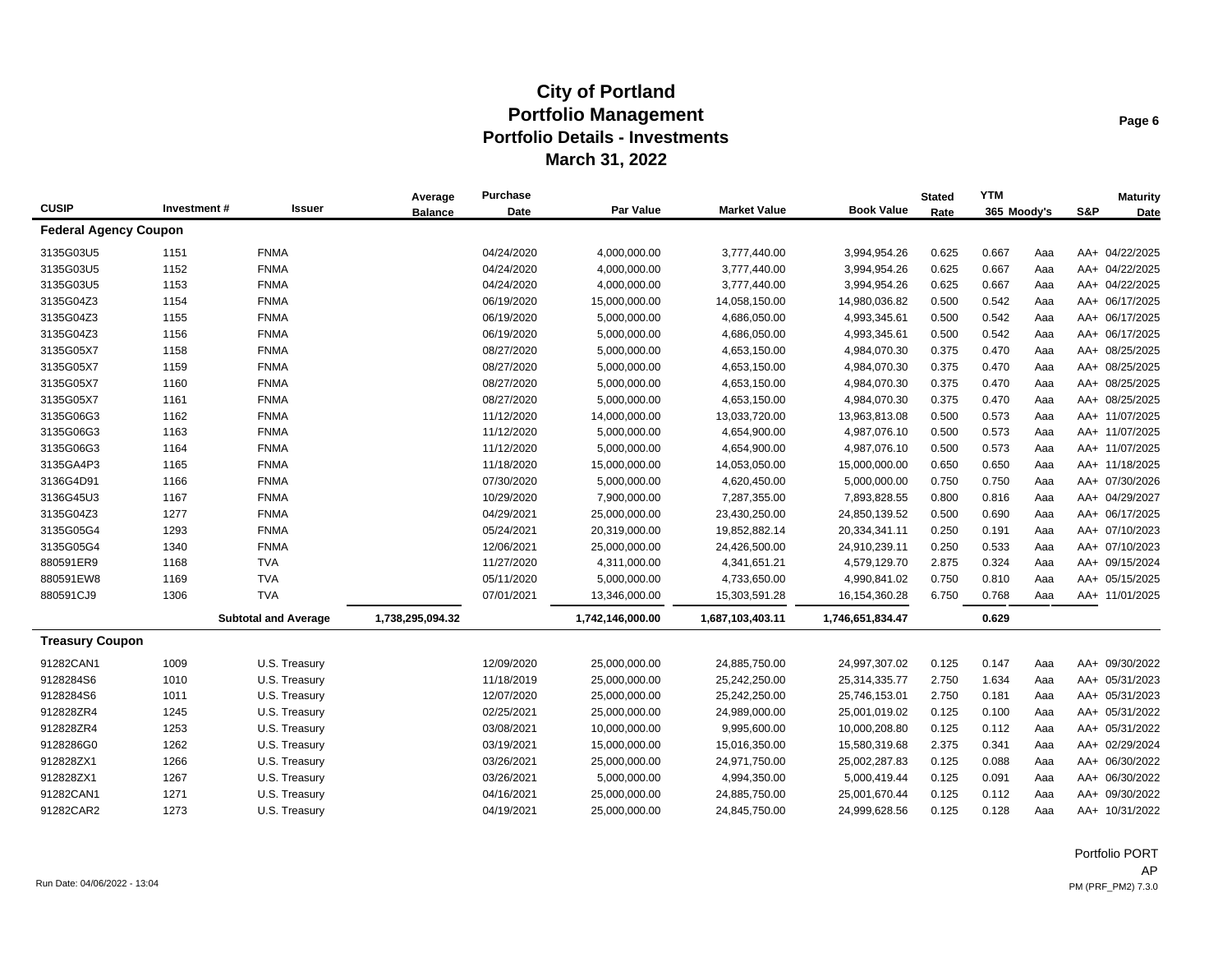|                              |             |                             | Average          | Purchase   |                  |                     |                   | <b>Stated</b> | <b>YTM</b>  |     |     | <b>Maturity</b> |
|------------------------------|-------------|-----------------------------|------------------|------------|------------------|---------------------|-------------------|---------------|-------------|-----|-----|-----------------|
| <b>CUSIP</b>                 | Investment# | <b>Issuer</b>               | <b>Balance</b>   | Date       | Par Value        | <b>Market Value</b> | <b>Book Value</b> | Rate          | 365 Moody's |     | S&P | Date            |
| <b>Federal Agency Coupon</b> |             |                             |                  |            |                  |                     |                   |               |             |     |     |                 |
| 3135G03U5                    | 1151        | <b>FNMA</b>                 |                  | 04/24/2020 | 4,000,000.00     | 3,777,440.00        | 3,994,954.26      | 0.625         | 0.667       | Aaa |     | AA+ 04/22/2025  |
| 3135G03U5                    | 1152        | <b>FNMA</b>                 |                  | 04/24/2020 | 4,000,000.00     | 3,777,440.00        | 3,994,954.26      | 0.625         | 0.667       | Aaa |     | AA+ 04/22/2025  |
| 3135G03U5                    | 1153        | <b>FNMA</b>                 |                  | 04/24/2020 | 4,000,000.00     | 3,777,440.00        | 3,994,954.26      | 0.625         | 0.667       | Aaa |     | AA+ 04/22/2025  |
| 3135G04Z3                    | 1154        | <b>FNMA</b>                 |                  | 06/19/2020 | 15,000,000.00    | 14,058,150.00       | 14,980,036.82     | 0.500         | 0.542       | Aaa |     | AA+ 06/17/2025  |
| 3135G04Z3                    | 1155        | <b>FNMA</b>                 |                  | 06/19/2020 | 5,000,000.00     | 4,686,050.00        | 4,993,345.61      | 0.500         | 0.542       | Aaa |     | AA+ 06/17/2025  |
| 3135G04Z3                    | 1156        | <b>FNMA</b>                 |                  | 06/19/2020 | 5,000,000.00     | 4,686,050.00        | 4,993,345.61      | 0.500         | 0.542       | Aaa |     | AA+ 06/17/2025  |
| 3135G05X7                    | 1158        | <b>FNMA</b>                 |                  | 08/27/2020 | 5,000,000.00     | 4,653,150.00        | 4,984,070.30      | 0.375         | 0.470       | Aaa |     | AA+ 08/25/2025  |
| 3135G05X7                    | 1159        | <b>FNMA</b>                 |                  | 08/27/2020 | 5,000,000.00     | 4,653,150.00        | 4,984,070.30      | 0.375         | 0.470       | Aaa |     | AA+ 08/25/2025  |
| 3135G05X7                    | 1160        | <b>FNMA</b>                 |                  | 08/27/2020 | 5,000,000.00     | 4,653,150.00        | 4,984,070.30      | 0.375         | 0.470       | Aaa |     | AA+ 08/25/2025  |
| 3135G05X7                    | 1161        | <b>FNMA</b>                 |                  | 08/27/2020 | 5,000,000.00     | 4,653,150.00        | 4,984,070.30      | 0.375         | 0.470       | Aaa |     | AA+ 08/25/2025  |
| 3135G06G3                    | 1162        | <b>FNMA</b>                 |                  | 11/12/2020 | 14,000,000.00    | 13,033,720.00       | 13,963,813.08     | 0.500         | 0.573       | Aaa |     | AA+ 11/07/2025  |
| 3135G06G3                    | 1163        | <b>FNMA</b>                 |                  | 11/12/2020 | 5,000,000.00     | 4,654,900.00        | 4,987,076.10      | 0.500         | 0.573       | Aaa |     | AA+ 11/07/2025  |
| 3135G06G3                    | 1164        | <b>FNMA</b>                 |                  | 11/12/2020 | 5,000,000.00     | 4,654,900.00        | 4,987,076.10      | 0.500         | 0.573       | Aaa |     | AA+ 11/07/2025  |
| 3135GA4P3                    | 1165        | <b>FNMA</b>                 |                  | 11/18/2020 | 15,000,000.00    | 14,053,050.00       | 15,000,000.00     | 0.650         | 0.650       | Aaa |     | AA+ 11/18/2025  |
| 3136G4D91                    | 1166        | <b>FNMA</b>                 |                  | 07/30/2020 | 5,000,000.00     | 4,620,450.00        | 5,000,000.00      | 0.750         | 0.750       | Aaa |     | AA+ 07/30/2026  |
| 3136G45U3                    | 1167        | <b>FNMA</b>                 |                  | 10/29/2020 | 7,900,000.00     | 7,287,355.00        | 7,893,828.55      | 0.800         | 0.816       | Aaa |     | AA+ 04/29/2027  |
| 3135G04Z3                    | 1277        | <b>FNMA</b>                 |                  | 04/29/2021 | 25,000,000.00    | 23,430,250.00       | 24,850,139.52     | 0.500         | 0.690       | Aaa |     | AA+ 06/17/2025  |
| 3135G05G4                    | 1293        | <b>FNMA</b>                 |                  | 05/24/2021 | 20,319,000.00    | 19,852,882.14       | 20,334,341.11     | 0.250         | 0.191       | Aaa |     | AA+ 07/10/2023  |
| 3135G05G4                    | 1340        | <b>FNMA</b>                 |                  | 12/06/2021 | 25,000,000.00    | 24,426,500.00       | 24,910,239.11     | 0.250         | 0.533       | Aaa |     | AA+ 07/10/2023  |
| 880591ER9                    | 1168        | <b>TVA</b>                  |                  | 11/27/2020 | 4,311,000.00     | 4,341,651.21        | 4,579,129.70      | 2.875         | 0.324       | Aaa |     | AA+ 09/15/2024  |
| 880591EW8                    | 1169        | <b>TVA</b>                  |                  | 05/11/2020 | 5,000,000.00     | 4,733,650.00        | 4,990,841.02      | 0.750         | 0.810       | Aaa |     | AA+ 05/15/2025  |
| 880591CJ9                    | 1306        | <b>TVA</b>                  |                  | 07/01/2021 | 13,346,000.00    | 15,303,591.28       | 16,154,360.28     | 6.750         | 0.768       | Aaa |     | AA+ 11/01/2025  |
|                              |             | <b>Subtotal and Average</b> | 1,738,295,094.32 |            | 1,742,146,000.00 | 1,687,103,403.11    | 1,746,651,834.47  |               | 0.629       |     |     |                 |
| <b>Treasury Coupon</b>       |             |                             |                  |            |                  |                     |                   |               |             |     |     |                 |
| 91282CAN1                    | 1009        | U.S. Treasury               |                  | 12/09/2020 | 25,000,000.00    | 24,885,750.00       | 24,997,307.02     | 0.125         | 0.147       | Aaa |     | AA+ 09/30/2022  |
| 9128284S6                    | 1010        | U.S. Treasury               |                  | 11/18/2019 | 25,000,000.00    | 25,242,250.00       | 25,314,335.77     | 2.750         | 1.634       | Aaa |     | AA+ 05/31/2023  |
| 9128284S6                    | 1011        | U.S. Treasury               |                  | 12/07/2020 | 25,000,000.00    | 25,242,250.00       | 25,746,153.01     | 2.750         | 0.181       | Aaa |     | AA+ 05/31/2023  |
| 912828ZR4                    | 1245        | U.S. Treasury               |                  | 02/25/2021 | 25,000,000.00    | 24,989,000.00       | 25,001,019.02     | 0.125         | 0.100       | Aaa |     | AA+ 05/31/2022  |
| 912828ZR4                    | 1253        | U.S. Treasury               |                  | 03/08/2021 | 10,000,000.00    | 9,995,600.00        | 10,000,208.80     | 0.125         | 0.112       | Aaa |     | AA+ 05/31/2022  |
| 9128286G0                    | 1262        | U.S. Treasury               |                  | 03/19/2021 | 15,000,000.00    | 15,016,350.00       | 15,580,319.68     | 2.375         | 0.341       | Aaa |     | AA+ 02/29/2024  |
| 912828ZX1                    | 1266        | U.S. Treasury               |                  | 03/26/2021 | 25,000,000.00    | 24,971,750.00       | 25,002,287.83     | 0.125         | 0.088       | Aaa |     | AA+ 06/30/2022  |
| 912828ZX1                    | 1267        | U.S. Treasury               |                  | 03/26/2021 | 5,000,000.00     | 4,994,350.00        | 5,000,419.44      | 0.125         | 0.091       | Aaa |     | AA+ 06/30/2022  |
| 91282CAN1                    | 1271        | U.S. Treasury               |                  | 04/16/2021 | 25,000,000.00    | 24,885,750.00       | 25,001,670.44     | 0.125         | 0.112       | Aaa |     | AA+ 09/30/2022  |
| 91282CAR2                    | 1273        | U.S. Treasury               |                  | 04/19/2021 | 25,000,000.00    | 24,845,750.00       | 24,999,628.56     | 0.125         | 0.128       | Aaa |     | AA+ 10/31/2022  |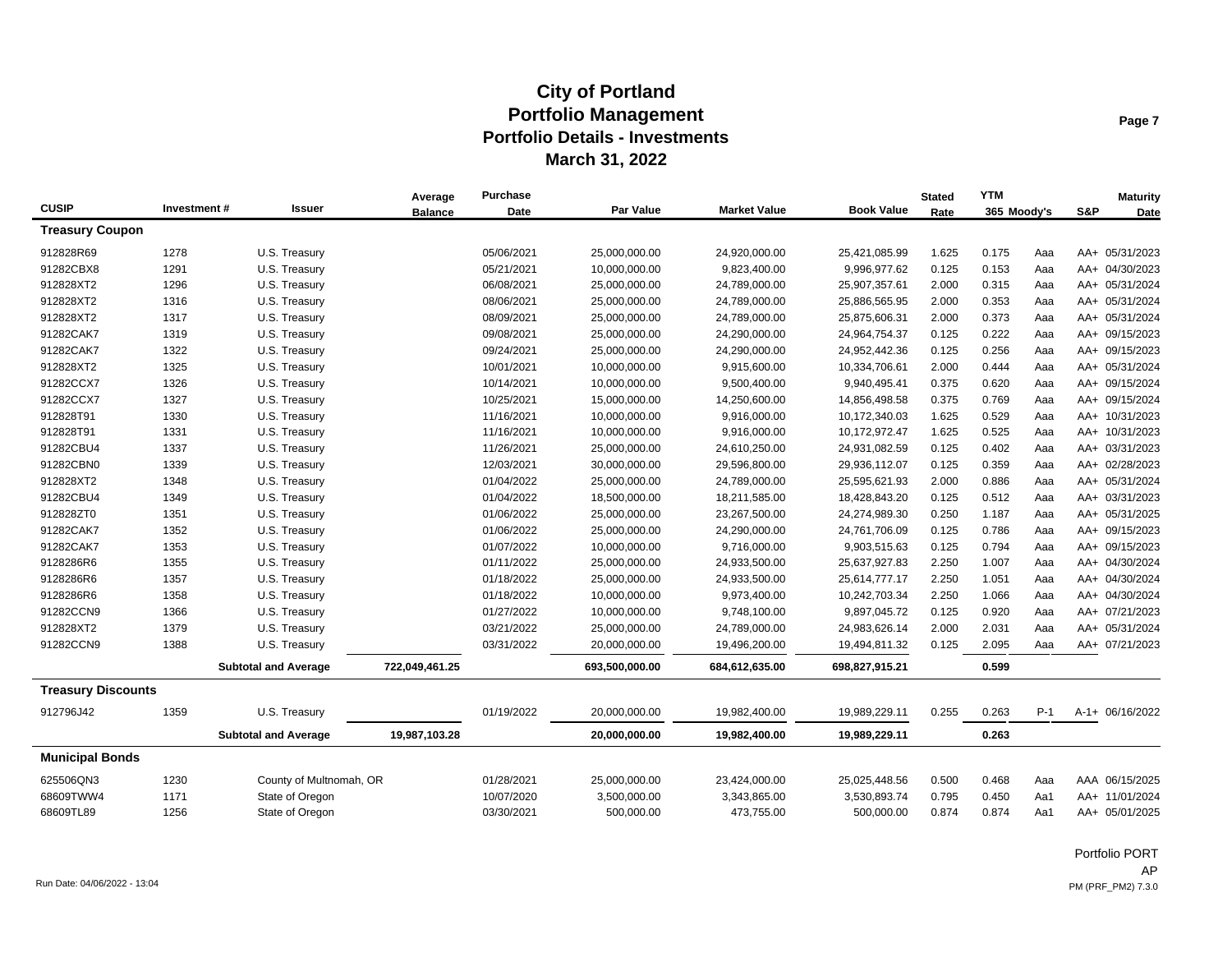|                           |             |                             | Average        | Purchase   |                  |                     |                   | <b>Stated</b> | <b>YTM</b>  |       |     | <b>Maturity</b> |
|---------------------------|-------------|-----------------------------|----------------|------------|------------------|---------------------|-------------------|---------------|-------------|-------|-----|-----------------|
| <b>CUSIP</b>              | Investment# | Issuer                      | <b>Balance</b> | Date       | <b>Par Value</b> | <b>Market Value</b> | <b>Book Value</b> | Rate          | 365 Moody's |       | S&P | Date            |
| <b>Treasury Coupon</b>    |             |                             |                |            |                  |                     |                   |               |             |       |     |                 |
| 912828R69                 | 1278        | U.S. Treasury               |                | 05/06/2021 | 25,000,000.00    | 24,920,000.00       | 25,421,085.99     | 1.625         | 0.175       | Aaa   |     | AA+ 05/31/2023  |
| 91282CBX8                 | 1291        | U.S. Treasury               |                | 05/21/2021 | 10,000,000.00    | 9,823,400.00        | 9,996,977.62      | 0.125         | 0.153       | Aaa   |     | AA+ 04/30/2023  |
| 912828XT2                 | 1296        | U.S. Treasury               |                | 06/08/2021 | 25,000,000.00    | 24,789,000.00       | 25,907,357.61     | 2.000         | 0.315       | Aaa   |     | AA+ 05/31/2024  |
| 912828XT2                 | 1316        | U.S. Treasury               |                | 08/06/2021 | 25,000,000.00    | 24,789,000.00       | 25,886,565.95     | 2.000         | 0.353       | Aaa   |     | AA+ 05/31/2024  |
| 912828XT2                 | 1317        | U.S. Treasury               |                | 08/09/2021 | 25,000,000.00    | 24,789,000.00       | 25,875,606.31     | 2.000         | 0.373       | Aaa   |     | AA+ 05/31/2024  |
| 91282CAK7                 | 1319        | U.S. Treasury               |                | 09/08/2021 | 25,000,000.00    | 24,290,000.00       | 24,964,754.37     | 0.125         | 0.222       | Aaa   |     | AA+ 09/15/2023  |
| 91282CAK7                 | 1322        | U.S. Treasury               |                | 09/24/2021 | 25,000,000.00    | 24,290,000.00       | 24,952,442.36     | 0.125         | 0.256       | Aaa   |     | AA+ 09/15/2023  |
| 912828XT2                 | 1325        | U.S. Treasury               |                | 10/01/2021 | 10,000,000.00    | 9,915,600.00        | 10,334,706.61     | 2.000         | 0.444       | Aaa   |     | AA+ 05/31/2024  |
| 91282CCX7                 | 1326        | U.S. Treasury               |                | 10/14/2021 | 10,000,000.00    | 9,500,400.00        | 9,940,495.41      | 0.375         | 0.620       | Aaa   |     | AA+ 09/15/2024  |
| 91282CCX7                 | 1327        | U.S. Treasury               |                | 10/25/2021 | 15,000,000.00    | 14,250,600.00       | 14,856,498.58     | 0.375         | 0.769       | Aaa   |     | AA+ 09/15/2024  |
| 912828T91                 | 1330        | U.S. Treasury               |                | 11/16/2021 | 10,000,000.00    | 9,916,000.00        | 10,172,340.03     | 1.625         | 0.529       | Aaa   |     | AA+ 10/31/2023  |
| 912828T91                 | 1331        | U.S. Treasury               |                | 11/16/2021 | 10,000,000.00    | 9,916,000.00        | 10,172,972.47     | 1.625         | 0.525       | Aaa   |     | AA+ 10/31/2023  |
| 91282CBU4                 | 1337        | U.S. Treasury               |                | 11/26/2021 | 25,000,000.00    | 24,610,250.00       | 24,931,082.59     | 0.125         | 0.402       | Aaa   |     | AA+ 03/31/2023  |
| 91282CBN0                 | 1339        | U.S. Treasury               |                | 12/03/2021 | 30,000,000.00    | 29,596,800.00       | 29,936,112.07     | 0.125         | 0.359       | Aaa   |     | AA+ 02/28/2023  |
| 912828XT2                 | 1348        | U.S. Treasury               |                | 01/04/2022 | 25,000,000.00    | 24,789,000.00       | 25,595,621.93     | 2.000         | 0.886       | Aaa   |     | AA+ 05/31/2024  |
| 91282CBU4                 | 1349        | U.S. Treasury               |                | 01/04/2022 | 18,500,000.00    | 18,211,585.00       | 18,428,843.20     | 0.125         | 0.512       | Aaa   |     | AA+ 03/31/2023  |
| 912828ZT0                 | 1351        | U.S. Treasury               |                | 01/06/2022 | 25,000,000.00    | 23,267,500.00       | 24,274,989.30     | 0.250         | 1.187       | Aaa   |     | AA+ 05/31/2025  |
| 91282CAK7                 | 1352        | U.S. Treasury               |                | 01/06/2022 | 25,000,000.00    | 24,290,000.00       | 24,761,706.09     | 0.125         | 0.786       | Aaa   |     | AA+ 09/15/2023  |
| 91282CAK7                 | 1353        | U.S. Treasury               |                | 01/07/2022 | 10,000,000.00    | 9,716,000.00        | 9,903,515.63      | 0.125         | 0.794       | Aaa   |     | AA+ 09/15/2023  |
| 9128286R6                 | 1355        | U.S. Treasury               |                | 01/11/2022 | 25,000,000.00    | 24,933,500.00       | 25,637,927.83     | 2.250         | 1.007       | Aaa   |     | AA+ 04/30/2024  |
| 9128286R6                 | 1357        | U.S. Treasury               |                | 01/18/2022 | 25,000,000.00    | 24,933,500.00       | 25,614,777.17     | 2.250         | 1.051       | Aaa   |     | AA+ 04/30/2024  |
| 9128286R6                 | 1358        | U.S. Treasury               |                | 01/18/2022 | 10,000,000.00    | 9,973,400.00        | 10,242,703.34     | 2.250         | 1.066       | Aaa   |     | AA+ 04/30/2024  |
| 91282CCN9                 | 1366        | U.S. Treasury               |                | 01/27/2022 | 10,000,000.00    | 9,748,100.00        | 9,897,045.72      | 0.125         | 0.920       | Aaa   |     | AA+ 07/21/2023  |
| 912828XT2                 | 1379        | U.S. Treasury               |                | 03/21/2022 | 25,000,000.00    | 24,789,000.00       | 24,983,626.14     | 2.000         | 2.031       | Aaa   |     | AA+ 05/31/2024  |
| 91282CCN9                 | 1388        | U.S. Treasury               |                | 03/31/2022 | 20,000,000.00    | 19,496,200.00       | 19,494,811.32     | 0.125         | 2.095       | Aaa   |     | AA+ 07/21/2023  |
|                           |             | <b>Subtotal and Average</b> | 722,049,461.25 |            | 693,500,000.00   | 684,612,635.00      | 698,827,915.21    |               | 0.599       |       |     |                 |
| <b>Treasury Discounts</b> |             |                             |                |            |                  |                     |                   |               |             |       |     |                 |
| 912796J42                 | 1359        | U.S. Treasury               |                | 01/19/2022 | 20,000,000.00    | 19,982,400.00       | 19,989,229.11     | 0.255         | 0.263       | $P-1$ |     | A-1+ 06/16/2022 |
|                           |             | <b>Subtotal and Average</b> | 19,987,103.28  |            | 20,000,000.00    | 19,982,400.00       | 19,989,229.11     |               | 0.263       |       |     |                 |
| <b>Municipal Bonds</b>    |             |                             |                |            |                  |                     |                   |               |             |       |     |                 |
| 625506QN3                 | 1230        | County of Multnomah, OR     |                | 01/28/2021 | 25,000,000.00    | 23,424,000.00       | 25,025,448.56     | 0.500         | 0.468       | Aaa   |     | AAA 06/15/2025  |
| 68609TWW4                 | 1171        | State of Oregon             |                | 10/07/2020 | 3,500,000.00     | 3,343,865.00        | 3,530,893.74      | 0.795         | 0.450       | Aa1   |     | AA+ 11/01/2024  |
| 68609TL89                 | 1256        | State of Oregon             |                | 03/30/2021 | 500,000.00       | 473,755.00          | 500,000.00        | 0.874         | 0.874       | Aa1   |     | AA+ 05/01/2025  |
|                           |             |                             |                |            |                  |                     |                   |               |             |       |     |                 |

Portfolio PORT AP Run Date: 04/06/2022 - 13:04 PM (PRF\_PM2) 7.3.0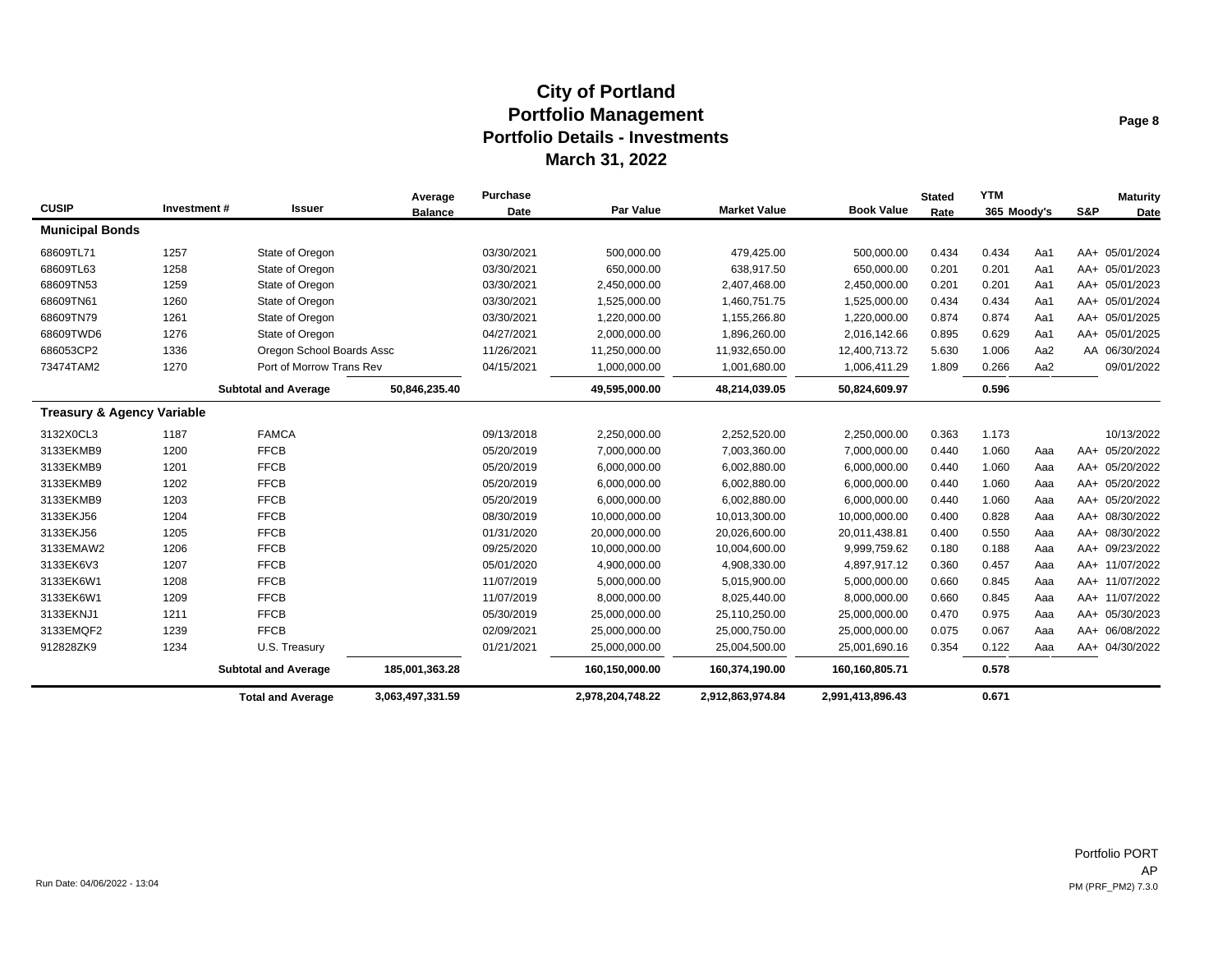|                                       |             |                             | Average          | <b>Purchase</b> |                  |                     |                   | <b>Stated</b> | <b>YTM</b>  |     |     | <b>Maturity</b> |
|---------------------------------------|-------------|-----------------------------|------------------|-----------------|------------------|---------------------|-------------------|---------------|-------------|-----|-----|-----------------|
| <b>CUSIP</b>                          | Investment# | <b>Issuer</b>               | <b>Balance</b>   | Date            | <b>Par Value</b> | <b>Market Value</b> | <b>Book Value</b> | Rate          | 365 Moody's |     | S&P | Date            |
| <b>Municipal Bonds</b>                |             |                             |                  |                 |                  |                     |                   |               |             |     |     |                 |
| 68609TL71                             | 1257        | State of Oregon             |                  | 03/30/2021      | 500,000.00       | 479,425.00          | 500,000.00        | 0.434         | 0.434       | Aa1 |     | AA+ 05/01/2024  |
| 68609TL63                             | 1258        | State of Oregon             |                  | 03/30/2021      | 650,000.00       | 638,917.50          | 650,000.00        | 0.201         | 0.201       | Aa1 |     | AA+ 05/01/2023  |
| 68609TN53                             | 1259        | State of Oregon             |                  | 03/30/2021      | 2,450,000.00     | 2,407,468.00        | 2,450,000.00      | 0.201         | 0.201       | Aa1 |     | AA+ 05/01/2023  |
| 68609TN61                             | 1260        | State of Oregon             |                  | 03/30/2021      | 1,525,000.00     | 1,460,751.75        | 1,525,000.00      | 0.434         | 0.434       | Aa1 |     | AA+ 05/01/2024  |
| 68609TN79                             | 1261        | State of Oregon             |                  | 03/30/2021      | 1,220,000.00     | 1,155,266.80        | 1,220,000.00      | 0.874         | 0.874       | Aa1 |     | AA+ 05/01/2025  |
| 68609TWD6                             | 1276        | State of Oregon             |                  | 04/27/2021      | 2,000,000.00     | 1,896,260.00        | 2,016,142.66      | 0.895         | 0.629       | Aa1 |     | AA+ 05/01/2025  |
| 686053CP2                             | 1336        | Oregon School Boards Assc   |                  | 11/26/2021      | 11,250,000.00    | 11,932,650.00       | 12,400,713.72     | 5.630         | 1.006       | Aa2 |     | AA 06/30/2024   |
| 73474TAM2                             | 1270        | Port of Morrow Trans Rev    |                  | 04/15/2021      | 1,000,000.00     | 1,001,680.00        | 1,006,411.29      | 1.809         | 0.266       | Aa2 |     | 09/01/2022      |
|                                       |             | <b>Subtotal and Average</b> | 50,846,235.40    |                 | 49,595,000.00    | 48,214,039.05       | 50,824,609.97     |               | 0.596       |     |     |                 |
| <b>Treasury &amp; Agency Variable</b> |             |                             |                  |                 |                  |                     |                   |               |             |     |     |                 |
| 3132X0CL3                             | 1187        | <b>FAMCA</b>                |                  | 09/13/2018      | 2,250,000.00     | 2,252,520.00        | 2,250,000.00      | 0.363         | 1.173       |     |     | 10/13/2022      |
| 3133EKMB9                             | 1200        | <b>FFCB</b>                 |                  | 05/20/2019      | 7,000,000.00     | 7,003,360.00        | 7,000,000.00      | 0.440         | 1.060       | Aaa |     | AA+ 05/20/2022  |
| 3133EKMB9                             | 1201        | <b>FFCB</b>                 |                  | 05/20/2019      | 6,000,000.00     | 6,002,880.00        | 6,000,000.00      | 0.440         | 1.060       | Aaa |     | AA+ 05/20/2022  |
| 3133EKMB9                             | 1202        | <b>FFCB</b>                 |                  | 05/20/2019      | 6,000,000.00     | 6,002,880.00        | 6,000,000.00      | 0.440         | 1.060       | Aaa |     | AA+ 05/20/2022  |
| 3133EKMB9                             | 1203        | <b>FFCB</b>                 |                  | 05/20/2019      | 6,000,000.00     | 6,002,880.00        | 6,000,000.00      | 0.440         | 1.060       | Aaa |     | AA+ 05/20/2022  |
| 3133EKJ56                             | 1204        | <b>FFCB</b>                 |                  | 08/30/2019      | 10,000,000.00    | 10,013,300.00       | 10,000,000.00     | 0.400         | 0.828       | Aaa |     | AA+ 08/30/2022  |
| 3133EKJ56                             | 1205        | <b>FFCB</b>                 |                  | 01/31/2020      | 20,000,000.00    | 20,026,600.00       | 20,011,438.81     | 0.400         | 0.550       | Aaa |     | AA+ 08/30/2022  |
| 3133EMAW2                             | 1206        | <b>FFCB</b>                 |                  | 09/25/2020      | 10,000,000.00    | 10,004,600.00       | 9,999,759.62      | 0.180         | 0.188       | Aaa |     | AA+ 09/23/2022  |
| 3133EK6V3                             | 1207        | <b>FFCB</b>                 |                  | 05/01/2020      | 4,900,000.00     | 4,908,330.00        | 4,897,917.12      | 0.360         | 0.457       | Aaa |     | AA+ 11/07/2022  |
| 3133EK6W1                             | 1208        | <b>FFCB</b>                 |                  | 11/07/2019      | 5,000,000.00     | 5,015,900.00        | 5,000,000.00      | 0.660         | 0.845       | Aaa |     | AA+ 11/07/2022  |
| 3133EK6W1                             | 1209        | <b>FFCB</b>                 |                  | 11/07/2019      | 8,000,000.00     | 8,025,440.00        | 8,000,000.00      | 0.660         | 0.845       | Aaa |     | AA+ 11/07/2022  |
| 3133EKNJ1                             | 1211        | <b>FFCB</b>                 |                  | 05/30/2019      | 25,000,000.00    | 25,110,250.00       | 25,000,000.00     | 0.470         | 0.975       | Aaa |     | AA+ 05/30/2023  |
| 3133EMQF2                             | 1239        | <b>FFCB</b>                 |                  | 02/09/2021      | 25,000,000.00    | 25,000,750.00       | 25,000,000.00     | 0.075         | 0.067       | Aaa |     | AA+ 06/08/2022  |
| 912828ZK9                             | 1234        | U.S. Treasury               |                  | 01/21/2021      | 25,000,000.00    | 25,004,500.00       | 25,001,690.16     | 0.354         | 0.122       | Aaa |     | AA+ 04/30/2022  |
|                                       |             | <b>Subtotal and Average</b> | 185,001,363.28   |                 | 160,150,000.00   | 160,374,190.00      | 160,160,805.71    |               | 0.578       |     |     |                 |
|                                       |             | <b>Total and Average</b>    | 3,063,497,331.59 |                 | 2,978,204,748.22 | 2,912,863,974.84    | 2,991,413,896.43  |               | 0.671       |     |     |                 |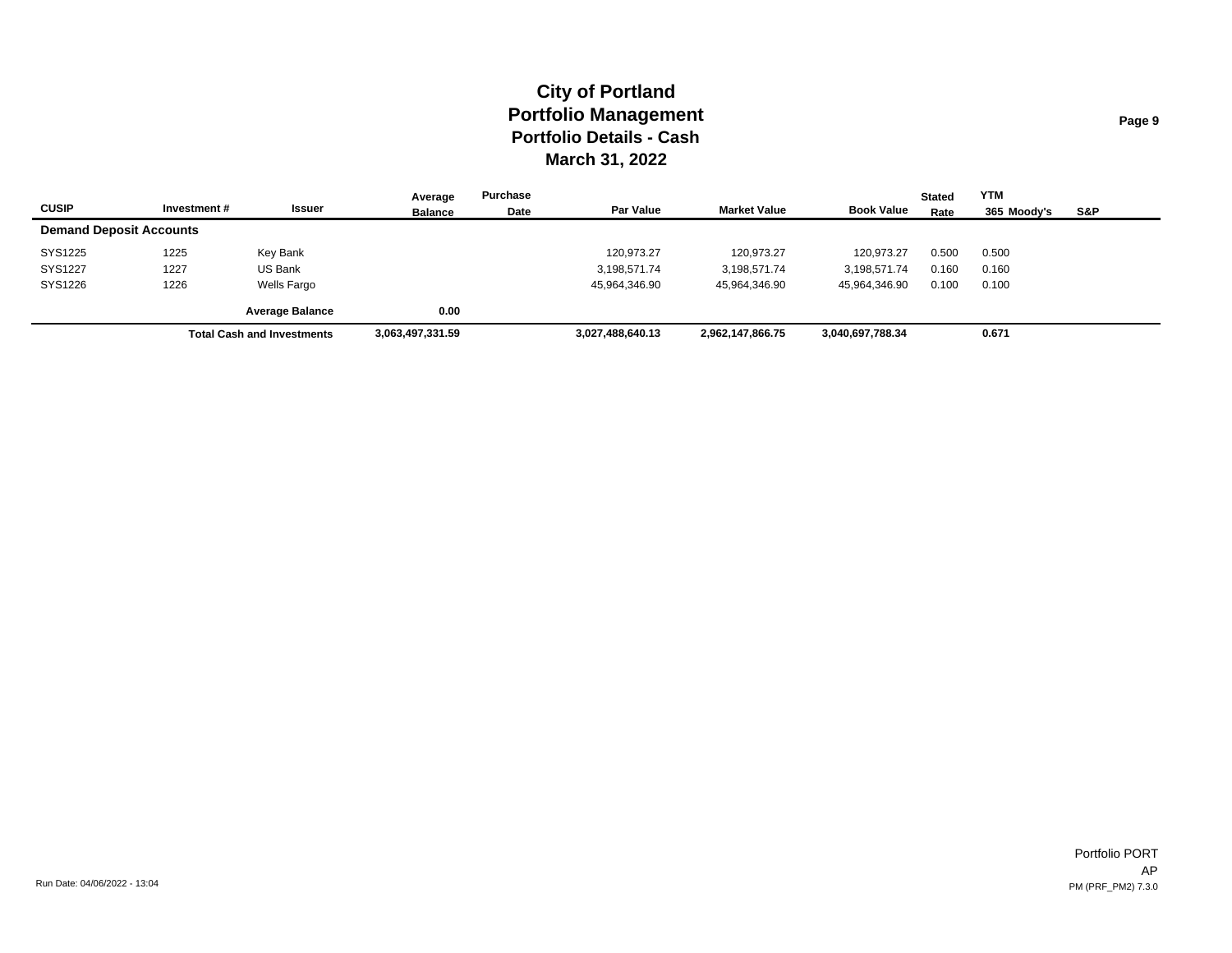|                                |             |                                   | Average          | Purchase |                  |                     |                   | <b>Stated</b> | <b>YTM</b>  |     |
|--------------------------------|-------------|-----------------------------------|------------------|----------|------------------|---------------------|-------------------|---------------|-------------|-----|
| <b>CUSIP</b>                   | Investment# | Issuer                            | <b>Balance</b>   | Date     | <b>Par Value</b> | <b>Market Value</b> | <b>Book Value</b> | Rate          | 365 Moodv's | S&P |
| <b>Demand Deposit Accounts</b> |             |                                   |                  |          |                  |                     |                   |               |             |     |
| SYS1225                        | 1225        | Key Bank                          |                  |          | 120,973.27       | 120.973.27          | 120.973.27        | 0.500         | 0.500       |     |
| SYS1227                        | 1227        | US Bank                           |                  |          | 3,198,571.74     | 3,198,571.74        | 3,198,571.74      | 0.160         | 0.160       |     |
| SYS1226                        | 1226        | Wells Fargo                       |                  |          | 45,964,346.90    | 45,964,346.90       | 45,964,346.90     | 0.100         | 0.100       |     |
|                                |             | <b>Average Balance</b>            | 0.00             |          |                  |                     |                   |               |             |     |
|                                |             | <b>Total Cash and Investments</b> | 3,063,497,331.59 |          | 3,027,488,640.13 | 2,962,147,866.75    | 3,040,697,788.34  |               | 0.671       |     |